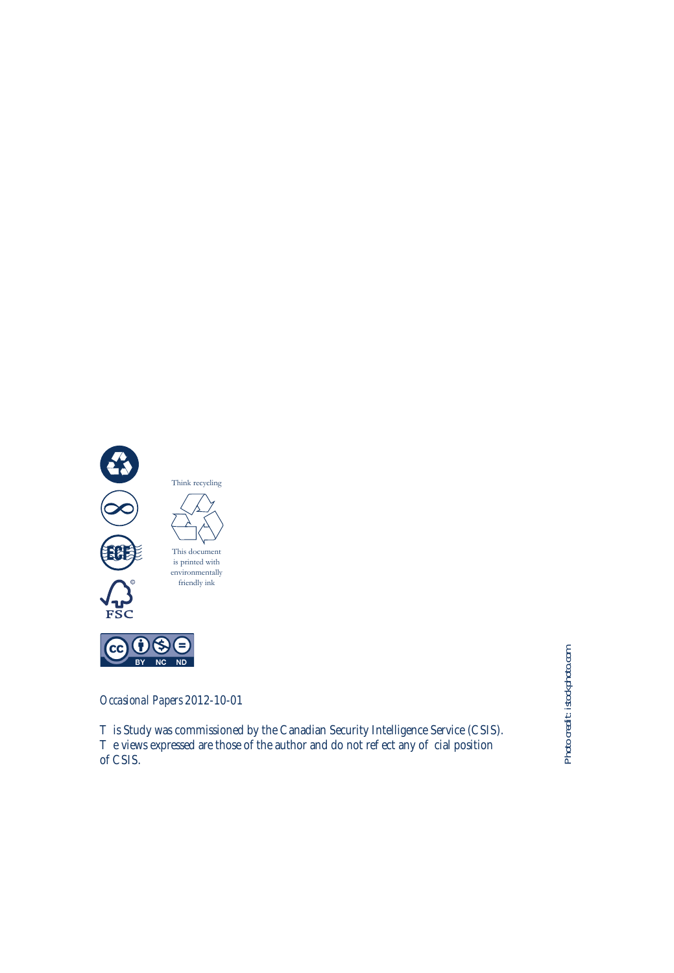

*Occasional Papers* 2012-10-01

is Study was commissioned by the Canadian Security Intelligence Service (CSIS). e views expressed are those of the author and do not reflect any official position of CSIS.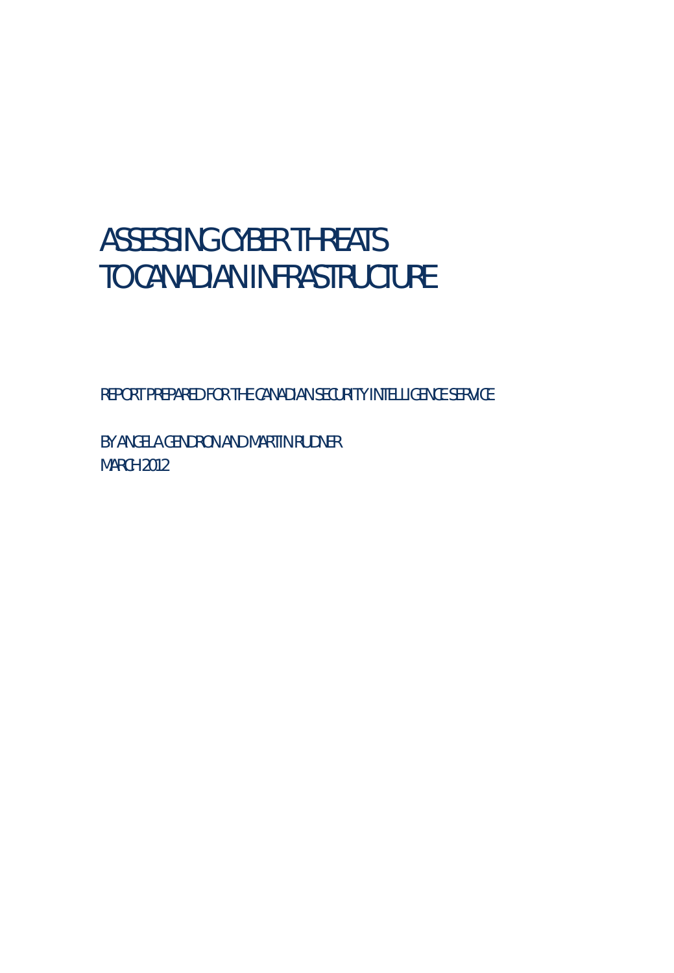# ASSESSING CYBER THREATS TO CANADIAN INFRASTRUCTURE

REPORT PREPARED FOR THE CANADIAN SECURITY INTELLIGENCE SERVICE

BY ANGELA GENDRON AND MARTIN RUDNER MARCH 2012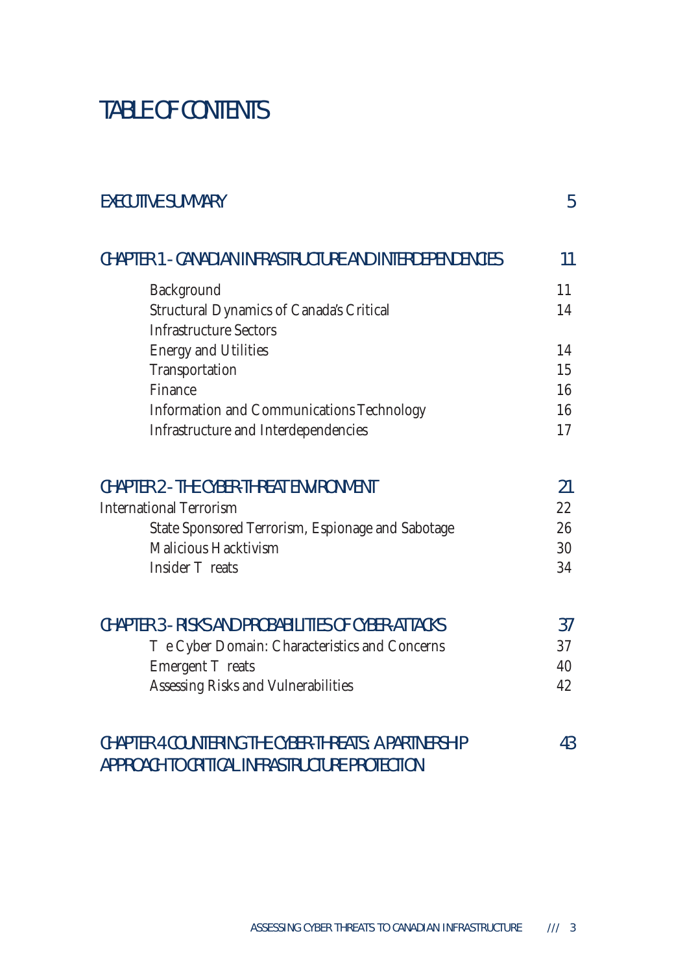# TABLE OF CONTENTS

| <b>EXECUTIVE SUMMARY</b>                                                                                | 5  |
|---------------------------------------------------------------------------------------------------------|----|
| CHAPTER 1 - CANADIAN INFRASTRUCTURE AND INTERDEPENDENCIES                                               | 11 |
| Background                                                                                              | 11 |
| Structural Dynamics of Canada's Critical                                                                | 14 |
| <b>Infrastructure Sectors</b>                                                                           |    |
| <b>Energy and Utilities</b>                                                                             | 14 |
| Transportation                                                                                          | 15 |
| Finance                                                                                                 | 16 |
| Information and Communications Technology                                                               | 16 |
| Infrastructure and Interdependencies                                                                    | 17 |
| <b>CHAPTER 2 - THE CYBER-THREAT ENVIRONMENT</b>                                                         | 21 |
| <b>International Terrorism</b>                                                                          | 22 |
| State Sponsored Terrorism, Espionage and Sabotage                                                       | 26 |
| <b>Malicious Hacktivism</b>                                                                             | 30 |
| Insider<br>reats                                                                                        | 34 |
| CHAPTER 3 - RISKS AND PROBABILITIES OF CYBER-ATTACKS                                                    | 37 |
| e Cyber Domain: Characteristics and Concerns                                                            | 37 |
| Emergent<br>reats                                                                                       | 40 |
| Assessing Risks and Vulnerabilities                                                                     | 42 |
| CHAPTER 4 COUNTERING THE CYBER-THREATS: A PARTNERSHIP<br>APPROACH TO CRITICAL INFRASTRUCTURE PROTECTION | 43 |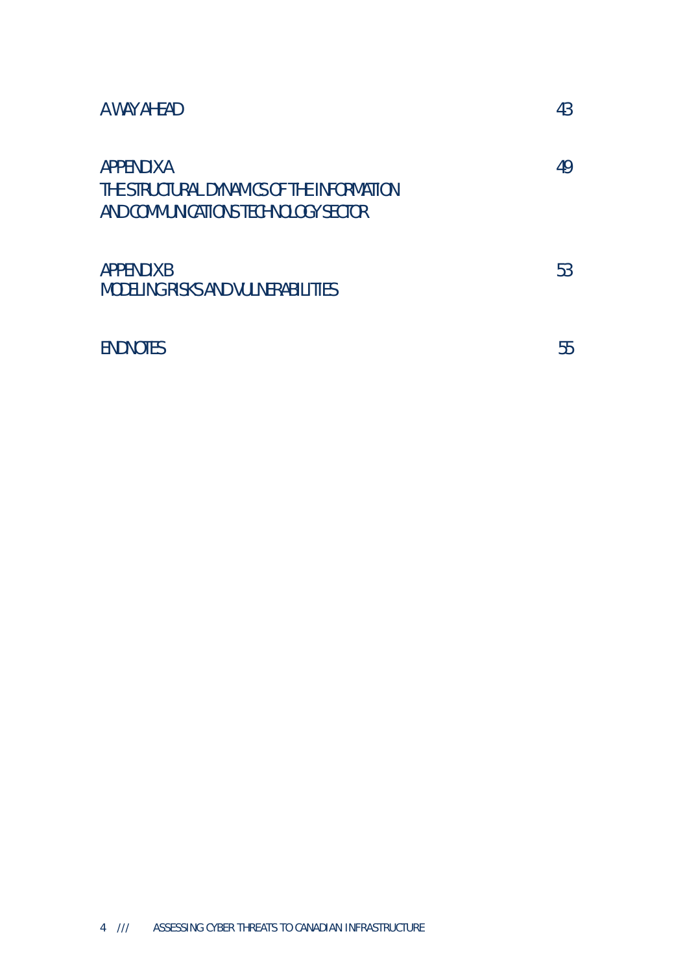| A WAY AHEAD                                                                                             | 43 |
|---------------------------------------------------------------------------------------------------------|----|
| <b>APPENDIX A</b><br>THE STRUCTURAL DYNAMICS OF THE INFORMATION<br>AND COMMUNICATIONS TECHNOLOGY SECTOR | 49 |
| <b>APPENDIX B</b><br><b>MODELING RISKS AND VULNERABILITIES</b>                                          | 53 |
| <b>ENDNOTES</b>                                                                                         | 55 |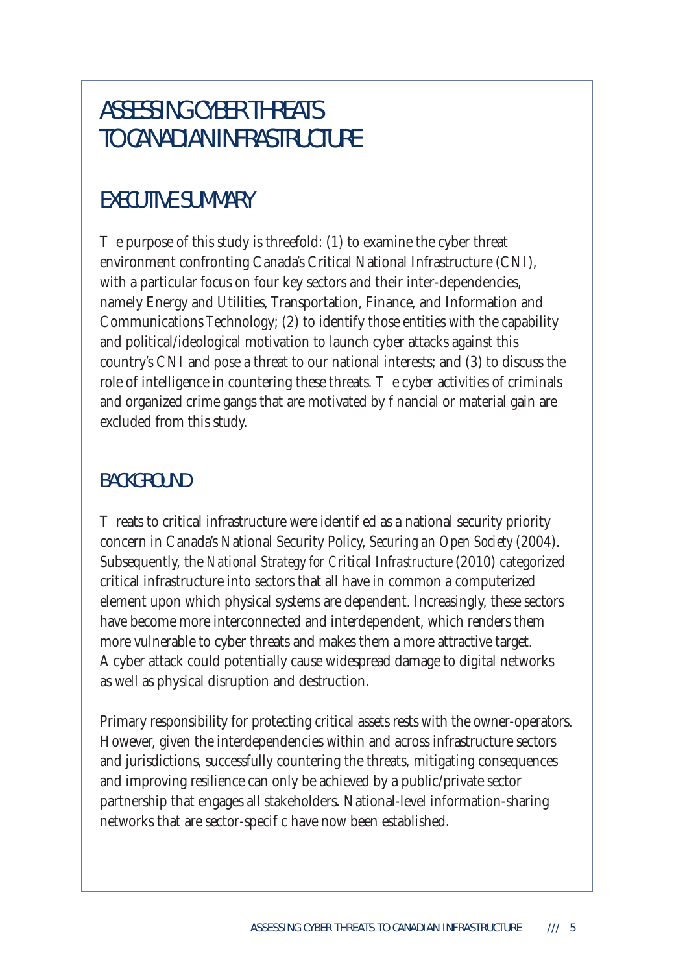# ASSESSING CYBER THREATS TO CANADIAN INFRASTRUCTURE

## EXECUTIVE SUMMARY

 $\epsilon$  purpose of this study is threefold: (1) to examine the cyber threat environment confronting Canada's Critical National Infrastructure (CNI), with a particular focus on four key sectors and their inter-dependencies, namely Energy and Utilities, Transportation, Finance, and Information and Communications Technology; (2) to identify those entities with the capability and political/ideological motivation to launch cyber attacks against this country's CNI and pose a threat to our national interests; and (3) to discuss the role of intelligence in countering these threats.  $\cdot$  e cyber activities of criminals and organized crime gangs that are motivated by nancial or material gain are excluded from this study.

#### BACKGROUND

reats to critical infrastructure were identi ed as a national security priority concern in Canada's National Security Policy, *Securing an Open Society* (2004). Subsequently, the *National Strategy for Critical Infrastructure* (2010) categorized critical infrastructure into sectors that all have in common a computerized element upon which physical systems are dependent. Increasingly, these sectors have become more interconnected and interdependent, which renders them more vulnerable to cyber threats and makes them a more attractive target. A cyber attack could potentially cause widespread damage to digital networks as well as physical disruption and destruction.

Primary responsibility for protecting critical assets rests with the owner-operators. However, given the interdependencies within and across infrastructure sectors and jurisdictions, successfully countering the threats, mitigating consequences and improving resilience can only be achieved by a public/private sector partnership that engages all stakeholders. National-level information-sharing networks that are sector-speci c have now been established.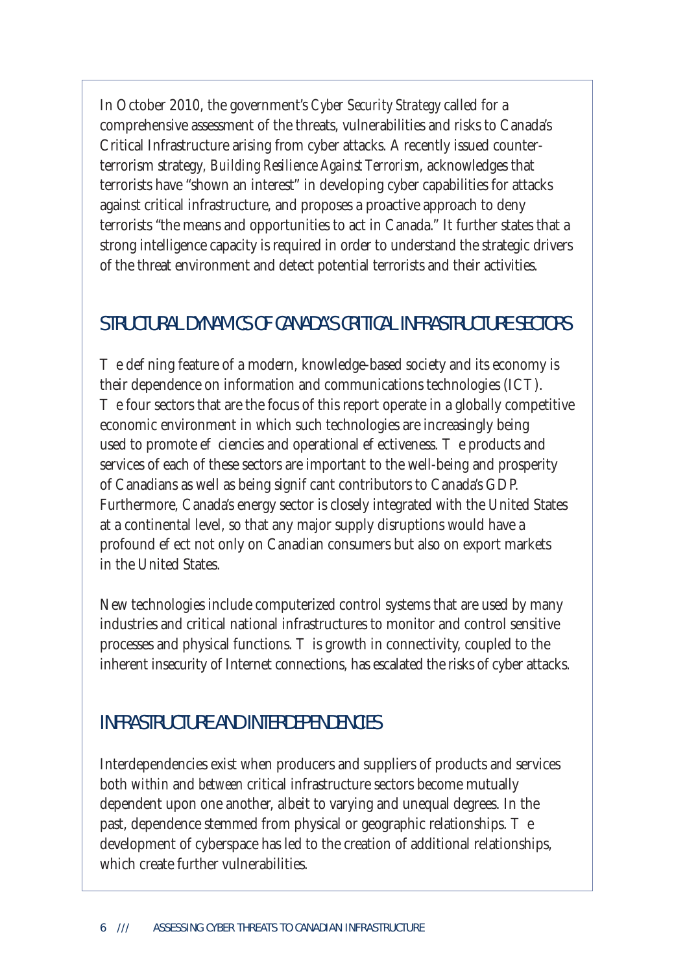In October 2010, the government's *Cyber Security Strategy* called for a comprehensive assessment of the threats, vulnerabilities and risks to Canada's Critical Infrastructure arising from cyber attacks. A recently issued counterterrorism strategy*, Building Resilience Against Terrorism*, acknowledges that terrorists have "shown an interest" in developing cyber capabilities for attacks against critical infrastructure, and proposes a proactive approach to deny terrorists "the means and opportunities to act in Canada." It further states that a strong intelligence capacity is required in order to understand the strategic drivers of the threat environment and detect potential terrorists and their activities.

#### STRUCTURAL DYNAMICS OF CANADA'S CRITICAL INFRASTRUCTURE SECTORS

e de ning feature of a modern, knowledge-based society and its economy is their dependence on information and communications technologies (ICT).

e four sectors that are the focus of this report operate in a globally competitive economic environment in which such technologies are increasingly being used to promote e ciencies and operational e ectiveness. The products and services of each of these sectors are important to the well-being and prosperity of Canadians as well as being signi cant contributors to Canada's GDP. Furthermore, Canada's energy sector is closely integrated with the United States at a continental level, so that any major supply disruptions would have a profound e ect not only on Canadian consumers but also on export markets in the United States.

New technologies include computerized control systems that are used by many industries and critical national infrastructures to monitor and control sensitive processes and physical functions. is growth in connectivity, coupled to the inherent insecurity of Internet connections, has escalated the risks of cyber attacks.

#### INFRASTRUCTURE AND INTERDEPENDENCIES

Interdependencies exist when producers and suppliers of products and services both *within* and *between* critical infrastructure sectors become mutually dependent upon one another, albeit to varying and unequal degrees. In the past, dependence stemmed from physical or geographic relationships. development of cyberspace has led to the creation of additional relationships, which create further vulnerabilities.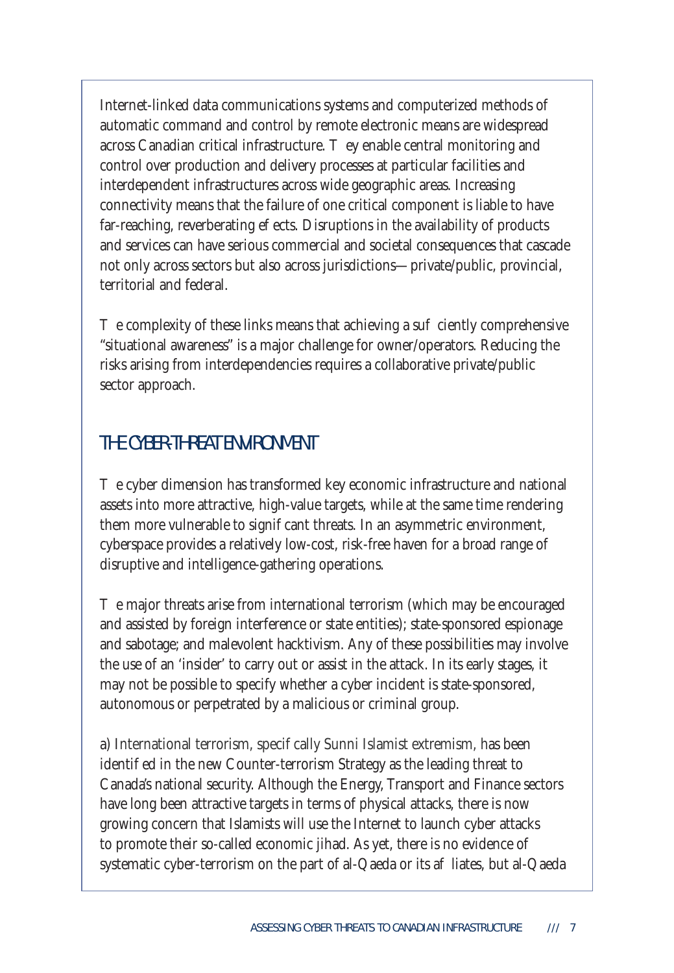Internet-linked data communications systems and computerized methods of automatic command and control by remote electronic means are widespread across Canadian critical infrastructure. ey enable central monitoring and control over production and delivery processes at particular facilities and interdependent infrastructures across wide geographic areas. Increasing connectivity means that the failure of one critical component is liable to have far-reaching, reverberating e ects. Disruptions in the availability of products and services can have serious commercial and societal consequences that cascade not only across sectors but also across jurisdictions—private/public, provincial, territorial and federal.

e complexity of these links means that achieving a sufficiently comprehensive "situational awareness" is a major challenge for owner/operators. Reducing the risks arising from interdependencies requires a collaborative private/public sector approach.

#### THE CYBER-THREAT ENVIRONMENT

e cyber dimension has transformed key economic infrastructure and national assets into more attractive, high-value targets, while at the same time rendering them more vulnerable to signi cant threats. In an asymmetric environment, cyberspace provides a relatively low-cost, risk-free haven for a broad range of disruptive and intelligence-gathering operations.

The major threats arise from international terrorism (which may be encouraged and assisted by foreign interference or state entities); state-sponsored espionage and sabotage; and malevolent hacktivism. Any of these possibilities may involve the use of an 'insider' to carry out or assist in the attack. In its early stages, it may not be possible to specify whether a cyber incident is state-sponsored, autonomous or perpetrated by a malicious or criminal group.

a) International terrorism, speci cally Sunni Islamist extremism, has been identi ed in the new Counter-terrorism Strategy as the leading threat to Canada's national security. Although the Energy, Transport and Finance sectors have long been attractive targets in terms of physical attacks, there is now growing concern that Islamists will use the Internet to launch cyber attacks to promote their so-called economic jihad. As yet, there is no evidence of systematic cyber-terrorism on the part of al-Qaeda or its a liates, but al-Qaeda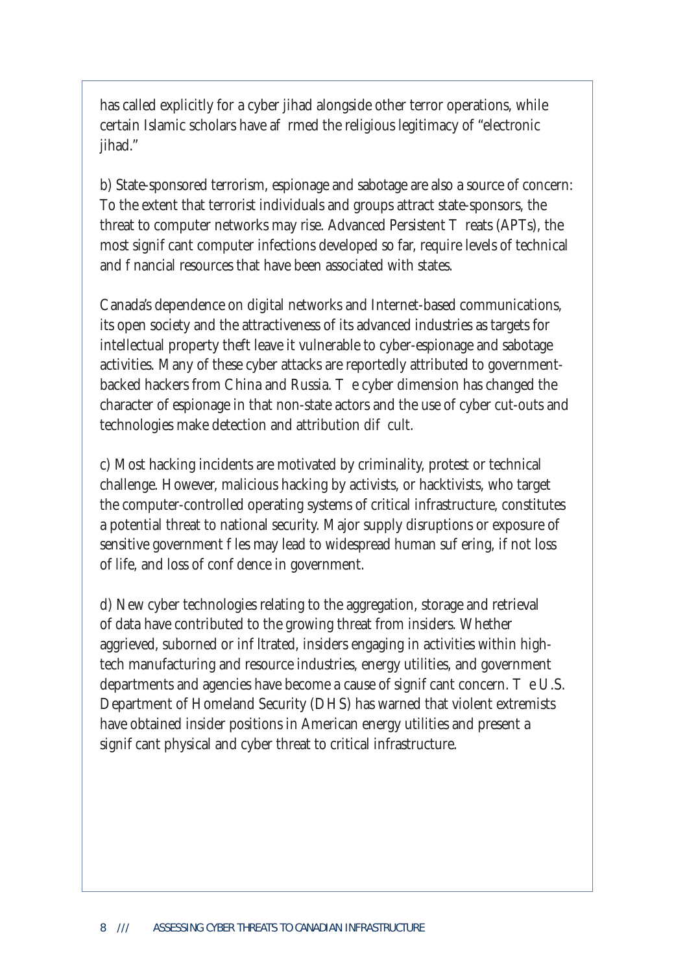has called explicitly for a cyber jihad alongside other terror operations, while certain Islamic scholars have a rmed the religious legitimacy of "electronic jihad."

b) State-sponsored terrorism, espionage and sabotage are also a source of concern: To the extent that terrorist individuals and groups attract state-sponsors, the threat to computer networks may rise. Advanced Persistent reats (APTs), the most signi cant computer infections developed so far, require levels of technical and nancial resources that have been associated with states.

Canada's dependence on digital networks and Internet-based communications, its open society and the attractiveness of its advanced industries as targets for intellectual property theft leave it vulnerable to cyber-espionage and sabotage activities. Many of these cyber attacks are reportedly attributed to governmentbacked hackers from China and Russia. The cyber dimension has changed the character of espionage in that non-state actors and the use of cyber cut-outs and technologies make detection and attribution di cult.

c) Most hacking incidents are motivated by criminality, protest or technical challenge. However, malicious hacking by activists, or hacktivists, who target the computer-controlled operating systems of critical infrastructure, constitutes a potential threat to national security. Major supply disruptions or exposure of sensitive government les may lead to widespread human su ering, if not loss of life, and loss of condence in government.

d) New cyber technologies relating to the aggregation, storage and retrieval of data have contributed to the growing threat from insiders. Whether aggrieved, suborned or in Itrated, insiders engaging in activities within hightech manufacturing and resource industries, energy utilities, and government departments and agencies have become a cause of signi cant concern.  $\cdot$  e U.S. Department of Homeland Security (DHS) has warned that violent extremists have obtained insider positions in American energy utilities and present a signi cant physical and cyber threat to critical infrastructure.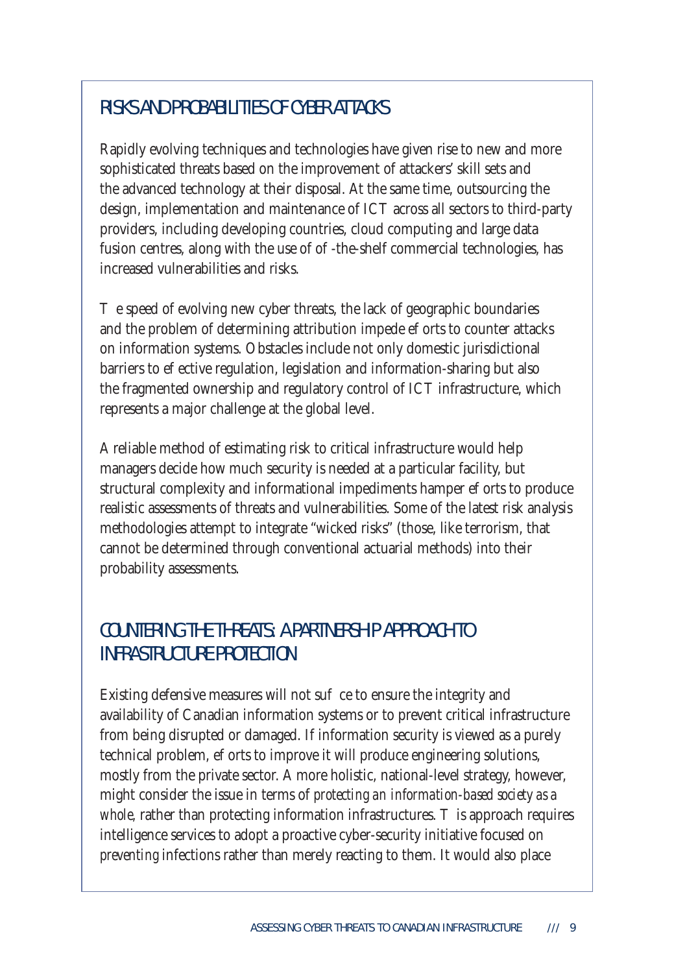## RISKS AND PROBABILITIES OF CYBER ATTACKS

Rapidly evolving techniques and technologies have given rise to new and more sophisticated threats based on the improvement of attackers' skill sets and the advanced technology at their disposal. At the same time, outsourcing the design, implementation and maintenance of ICT across all sectors to third-party providers, including developing countries, cloud computing and large data fusion centres, along with the use of o -the-shelf commercial technologies, has increased vulnerabilities and risks.

e speed of evolving new cyber threats, the lack of geographic boundaries and the problem of determining attribution impede e orts to counter attacks on information systems. Obstacles include not only domestic jurisdictional barriers to e ective regulation, legislation and information-sharing but also the fragmented ownership and regulatory control of ICT infrastructure, which represents a major challenge at the global level.

A reliable method of estimating risk to critical infrastructure would help managers decide how much security is needed at a particular facility, but structural complexity and informational impediments hamper e orts to produce realistic assessments of threats and vulnerabilities. Some of the latest risk analysis methodologies attempt to integrate "wicked risks" (those, like terrorism, that cannot be determined through conventional actuarial methods) into their probability assessments.

## COUNTERING THE THREATS: A PARTNERSHIP APPROACH TO INFRASTRUCTURE PROTECTION

Existing defensive measures will not su ce to ensure the integrity and availability of Canadian information systems or to prevent critical infrastructure from being disrupted or damaged. If information security is viewed as a purely technical problem, e orts to improve it will produce engineering solutions, mostly from the private sector. A more holistic, national-level strategy, however, might consider the issue in terms of *protecting an information-based society as a whole*, rather than protecting information infrastructures. is approach requires intelligence services to adopt a proactive cyber-security initiative focused on *preventing* infections rather than merely reacting to them. It would also place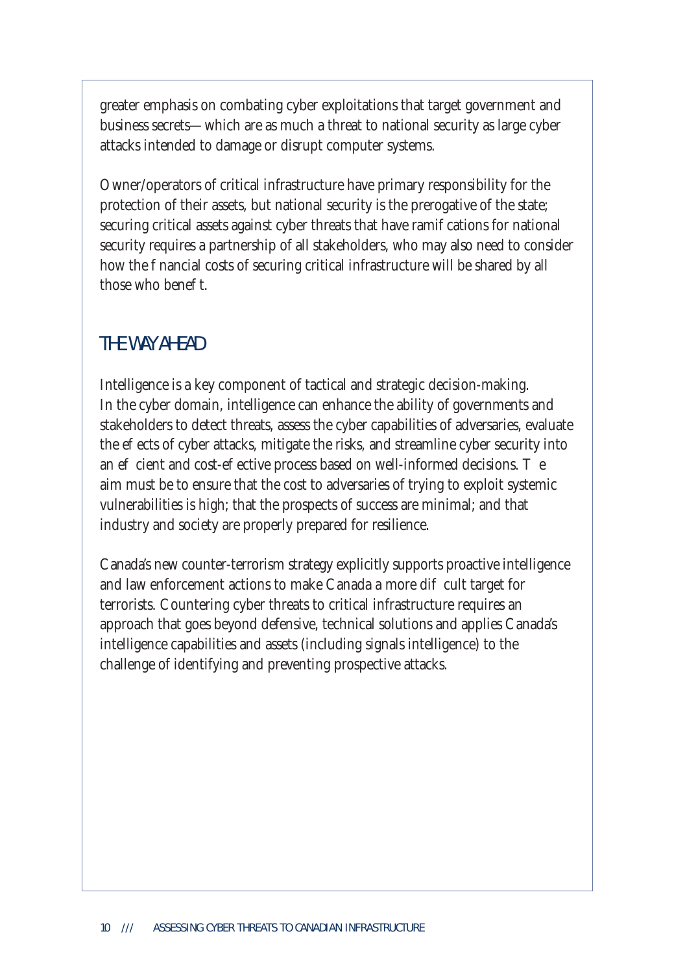greater emphasis on combating cyber exploitations that target government and business secrets—which are as much a threat to national security as large cyber attacks intended to damage or disrupt computer systems.

Owner/operators of critical infrastructure have primary responsibility for the protection of their assets, but national security is the prerogative of the state; securing critical assets against cyber threats that have ramial cations for national security requires a partnership of all stakeholders, who may also need to consider how the nancial costs of securing critical infrastructure will be shared by all those who bene t

#### THE WAY AHEAD

Intelligence is a key component of tactical and strategic decision-making. In the cyber domain, intelligence can enhance the ability of governments and stakeholders to detect threats, assess the cyber capabilities of adversaries, evaluate the e ects of cyber attacks, mitigate the risks, and streamline cyber security into an e cient and cost-e ective process based on well-informed decisions. aim must be to ensure that the cost to adversaries of trying to exploit systemic vulnerabilities is high; that the prospects of success are minimal; and that industry and society are properly prepared for resilience.

Canada's new counter-terrorism strategy explicitly supports proactive intelligence and law enforcement actions to make Canada a more di cult target for terrorists. Countering cyber threats to critical infrastructure requires an approach that goes beyond defensive, technical solutions and applies Canada's intelligence capabilities and assets (including signals intelligence) to the challenge of identifying and preventing prospective attacks.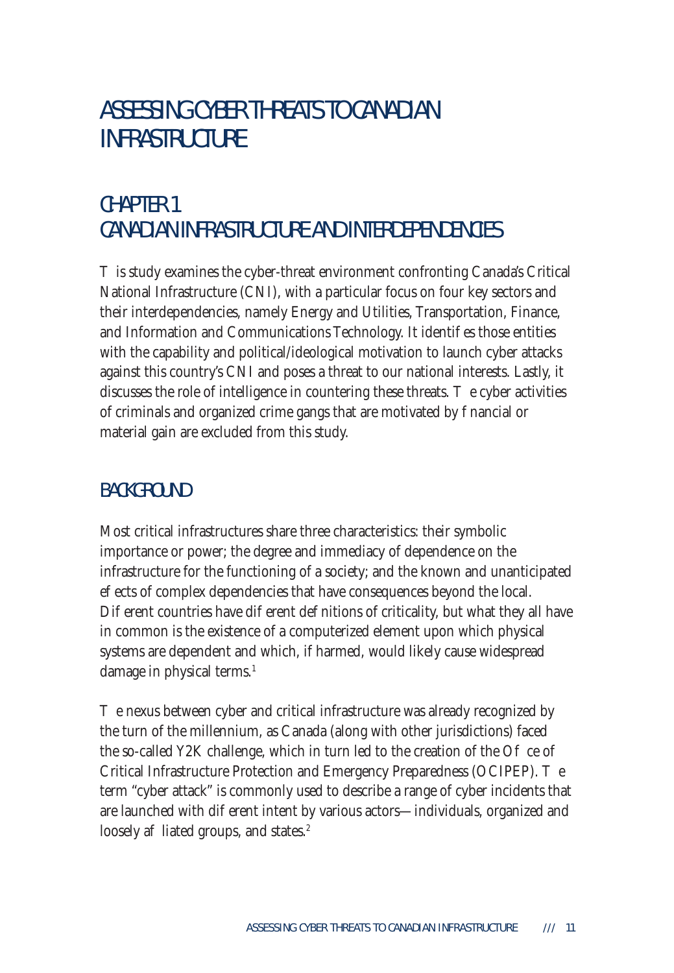# ASSESSING CYBER THREATS TO CANADIAN **INFRASTRUCTURE**

## CHAPTER 1 CANADIAN INFRASTRUCTURE AND INTERDEPENDENCIES

is study examines the cyber-threat environment confronting Canada's Critical National Infrastructure (CNI), with a particular focus on four key sectors and their interdependencies, namely Energy and Utilities, Transportation, Finance, and Information and Communications Technology. It identifies those entities with the capability and political/ideological motivation to launch cyber attacks against this country's CNI and poses a threat to our national interests. Lastly, it discusses the role of intelligence in countering these threats.  $\cdot$  e cyber activities of criminals and organized crime gangs that are motivated by nancial or material gain are excluded from this study.

#### BACKGROUND

Most critical infrastructures share three characteristics: their symbolic importance or power; the degree and immediacy of dependence on the infrastructure for the functioning of a society; and the known and unanticipated e ects of complex dependencies that have consequences beyond the local. Di erent countries have di erent de nitions of criticality, but what they all have in common is the existence of a computerized element upon which physical systems are dependent and which, if harmed, would likely cause widespread damage in physical terms.<sup>1</sup>

e nexus between cyber and critical infrastructure was already recognized by the turn of the millennium, as Canada (along with other jurisdictions) faced the so-called Y2K challenge, which in turn led to the creation of the  $O$  ce of Critical Infrastructure Protection and Emergency Preparedness (OCIPEP). The term "cyber attack" is commonly used to describe a range of cyber incidents that are launched with dieferent intent by various actors—individuals, organized and loosely a liated groups, and states.<sup>2</sup>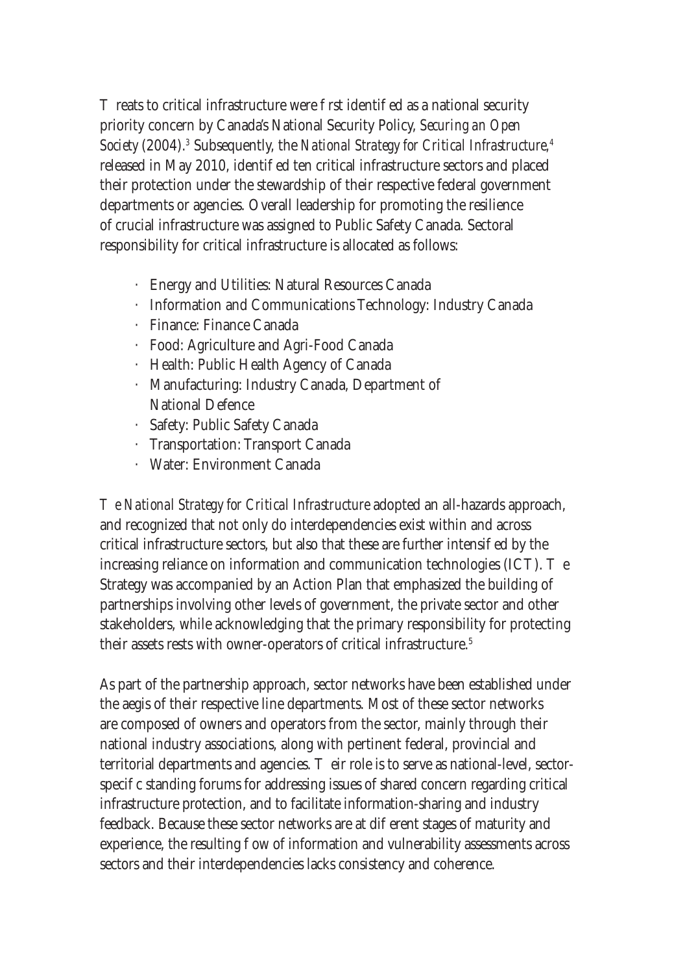reats to critical infrastructure were rst identi ed as a national security priority concern by Canada's National Security Policy, *Securing an Open Society* (2004).*<sup>3</sup>* Subsequently, the *National Strategy for Critical Infrastructure,4* released in May 2010, identi ed ten critical infrastructure sectors and placed their protection under the stewardship of their respective federal government departments or agencies. Overall leadership for promoting the resilience of crucial infrastructure was assigned to Public Safety Canada. Sectoral responsibility for critical infrastructure is allocated as follows:

- · Energy and Utilities: Natural Resources Canada
- · Information and Communications Technology: Industry Canada
- · Finance: Finance Canada
- · Food: Agriculture and Agri-Food Canada
- · Health: Public Health Agency of Canada
- · Manufacturing: Industry Canada, Department of National Defence
- · Safety: Public Safety Canada
- · Transportation: Transport Canada
- · Water: Environment Canada

*The National Strategy for Critical Infrastructure* adopted an all-hazards approach, and recognized that not only do interdependencies exist within and across critical infrastructure sectors, but also that these are further intensied by the increasing reliance on information and communication technologies  $(ICT)$ .  $e$ Strategy was accompanied by an Action Plan that emphasized the building of partnerships involving other levels of government, the private sector and other stakeholders, while acknowledging that the primary responsibility for protecting their assets rests with owner-operators of critical infrastructure.<sup>5</sup>

As part of the partnership approach, sector networks have been established under the aegis of their respective line departments. Most of these sector networks are composed of owners and operators from the sector, mainly through their national industry associations, along with pertinent federal, provincial and territorial departments and agencies. eir role is to serve as national-level, sectorspeci c standing forums for addressing issues of shared concern regarding critical infrastructure protection, and to facilitate information-sharing and industry feedback. Because these sector networks are at dieterent stages of maturity and experience, the resulting ow of information and vulnerability assessments across sectors and their interdependencies lacks consistency and coherence.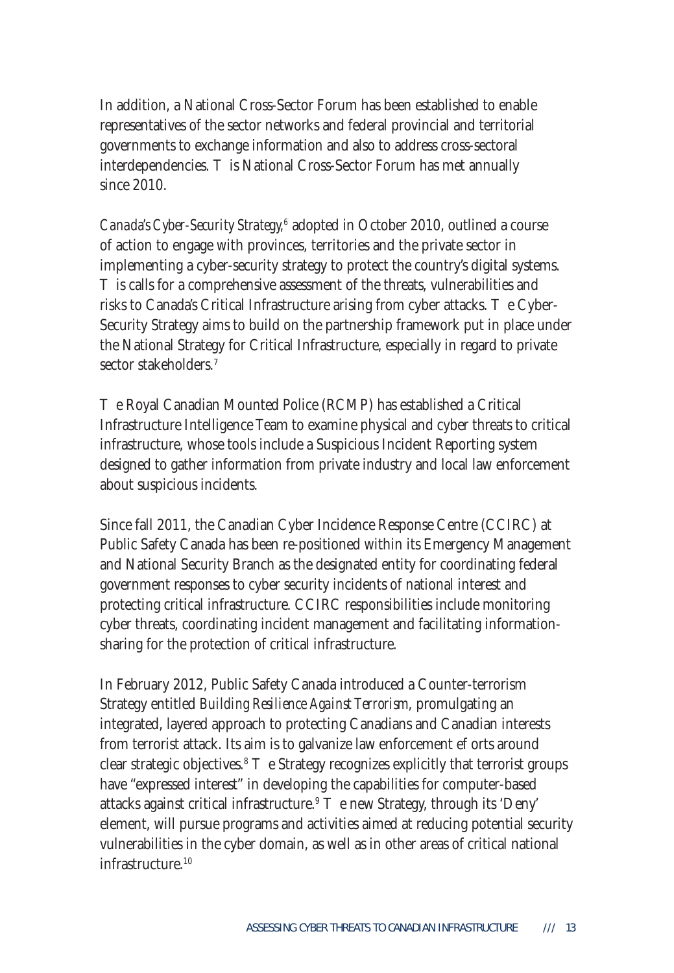In addition, a National Cross-Sector Forum has been established to enable representatives of the sector networks and federal provincial and territorial governments to exchange information and also to address cross-sectoral interdependencies. is National Cross-Sector Forum has met annually since 2010.

*Canada's Cyber-Security Strategy*,<sup>6</sup> adopted in October 2010, outlined a course of action to engage with provinces, territories and the private sector in implementing a cyber-security strategy to protect the country's digital systems.

is calls for a comprehensive assessment of the threats, vulnerabilities and risks to Canada's Critical Infrastructure arising from cyber attacks. e Cyber-Security Strategy aims to build on the partnership framework put in place under the National Strategy for Critical Infrastructure, especially in regard to private sector stakeholders.7

e Royal Canadian Mounted Police (RCMP) has established a Critical Infrastructure Intelligence Team to examine physical and cyber threats to critical infrastructure, whose tools include a Suspicious Incident Reporting system designed to gather information from private industry and local law enforcement about suspicious incidents.

Since fall 2011, the Canadian Cyber Incidence Response Centre (CCIRC) at Public Safety Canada has been re-positioned within its Emergency Management and National Security Branch as the designated entity for coordinating federal government responses to cyber security incidents of national interest and protecting critical infrastructure. CCIRC responsibilities include monitoring cyber threats, coordinating incident management and facilitating informationsharing for the protection of critical infrastructure.

In February 2012, Public Safety Canada introduced a Counter-terrorism Strategy entitled *Building Resilience Against Terrorism,* promulgating an integrated, layered approach to protecting Canadians and Canadian interests from terrorist attack. Its aim is to galvanize law enforcement e orts around clear strategic objectives.8 e Strategy recognizes explicitly that terrorist groups have "expressed interest" in developing the capabilities for computer-based attacks against critical infrastructure.9 e new Strategy, through its 'Deny' element, will pursue programs and activities aimed at reducing potential security vulnerabilities in the cyber domain, as well as in other areas of critical national infrastructure.10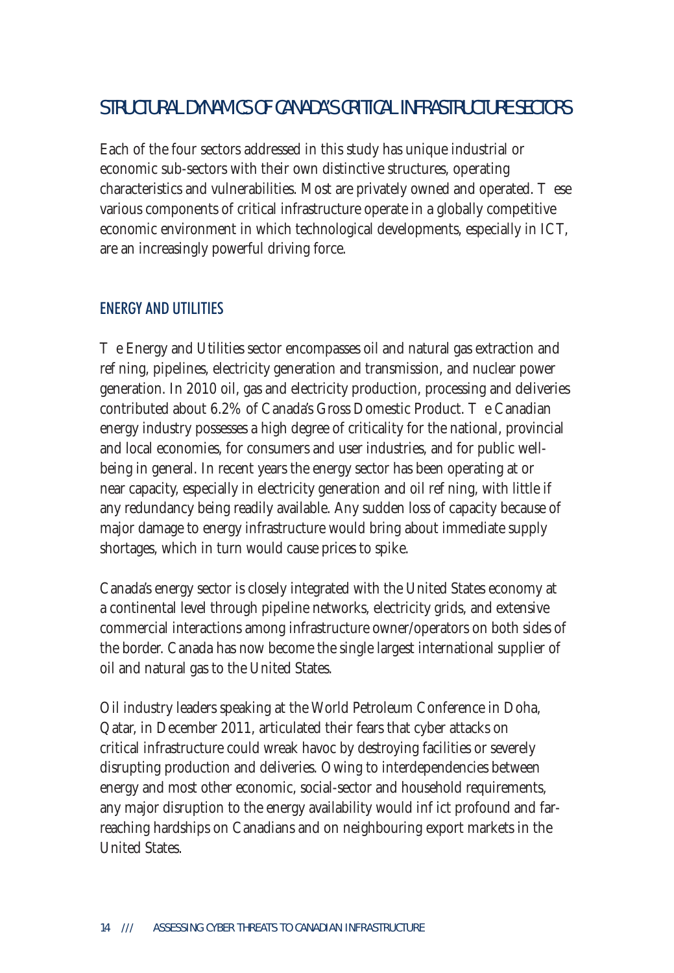### STRUCTURAL DYNAMICS OF CANADA'S CRITICAL INFRASTRUCTURE SECTORS

Each of the four sectors addressed in this study has unique industrial or economic sub-sectors with their own distinctive structures, operating characteristics and vulnerabilities. Most are privately owned and operated. ese various components of critical infrastructure operate in a globally competitive economic environment in which technological developments, especially in ICT, are an increasingly powerful driving force.

#### ENERGY AND UTILITIES

e Energy and Utilities sector encompasses oil and natural gas extraction and re ning, pipelines, electricity generation and transmission, and nuclear power generation. In 2010 oil, gas and electricity production, processing and deliveries contributed about 6.2% of Canada's Gross Domestic Product. e Canadian energy industry possesses a high degree of criticality for the national, provincial and local economies, for consumers and user industries, and for public wellbeing in general. In recent years the energy sector has been operating at or near capacity, especially in electricity generation and oil re ning, with little if any redundancy being readily available. Any sudden loss of capacity because of major damage to energy infrastructure would bring about immediate supply shortages, which in turn would cause prices to spike.

Canada's energy sector is closely integrated with the United States economy at a continental level through pipeline networks, electricity grids, and extensive commercial interactions among infrastructure owner/operators on both sides of the border. Canada has now become the single largest international supplier of oil and natural gas to the United States.

Oil industry leaders speaking at the World Petroleum Conference in Doha, Qatar, in December 2011, articulated their fears that cyber attacks on critical infrastructure could wreak havoc by destroying facilities or severely disrupting production and deliveries. Owing to interdependencies between energy and most other economic, social-sector and household requirements, any major disruption to the energy availability would in ict profound and farreaching hardships on Canadians and on neighbouring export markets in the United States.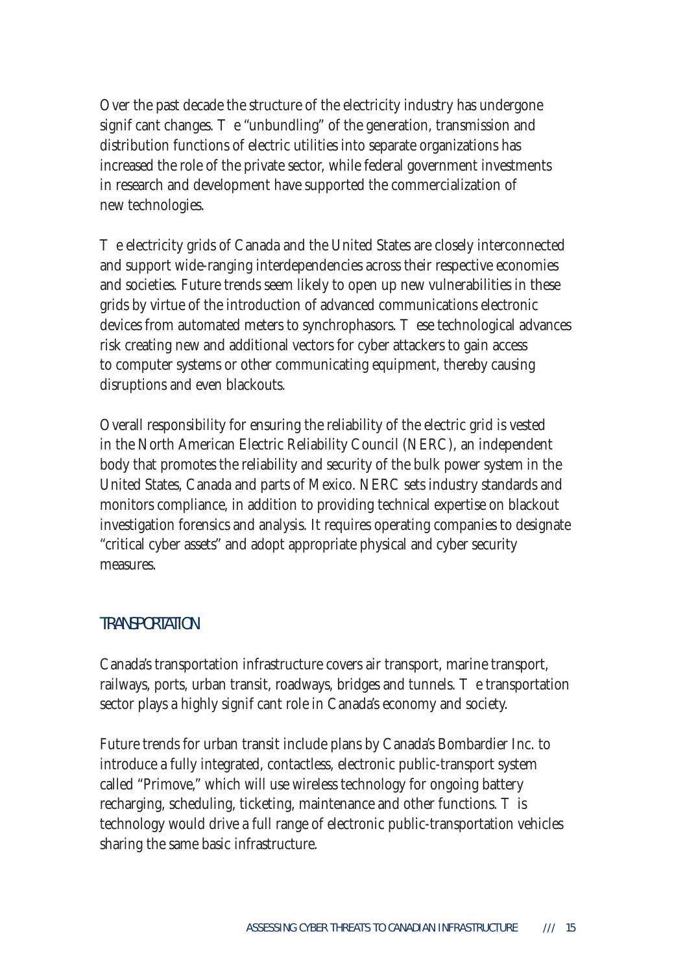Over the past decade the structure of the electricity industry has undergone signi cant changes. e "unbundling" of the generation, transmission and distribution functions of electric utilities into separate organizations has increased the role of the private sector, while federal government investments in research and development have supported the commercialization of new technologies.

e electricity grids of Canada and the United States are closely interconnected and support wide-ranging interdependencies across their respective economies and societies. Future trends seem likely to open up new vulnerabilities in these grids by virtue of the introduction of advanced communications electronic devices from automated meters to synchrophasors. ese technological advances risk creating new and additional vectors for cyber attackers to gain access to computer systems or other communicating equipment, thereby causing disruptions and even blackouts.

Overall responsibility for ensuring the reliability of the electric grid is vested in the North American Electric Reliability Council (NERC), an independent body that promotes the reliability and security of the bulk power system in the United States, Canada and parts of Mexico. NERC sets industry standards and monitors compliance, in addition to providing technical expertise on blackout investigation forensics and analysis. It requires operating companies to designate "critical cyber assets" and adopt appropriate physical and cyber security measures.

#### **TRANSPORTATION**

Canada's transportation infrastructure covers air transport, marine transport, railways, ports, urban transit, roadways, bridges and tunnels. e transportation sector plays a highly signi cant role in Canada's economy and society.

Future trends for urban transit include plans by Canada's Bombardier Inc. to introduce a fully integrated, contactless, electronic public-transport system called "Primove," which will use wireless technology for ongoing battery recharging, scheduling, ticketing, maintenance and other functions. is technology would drive a full range of electronic public-transportation vehicles sharing the same basic infrastructure.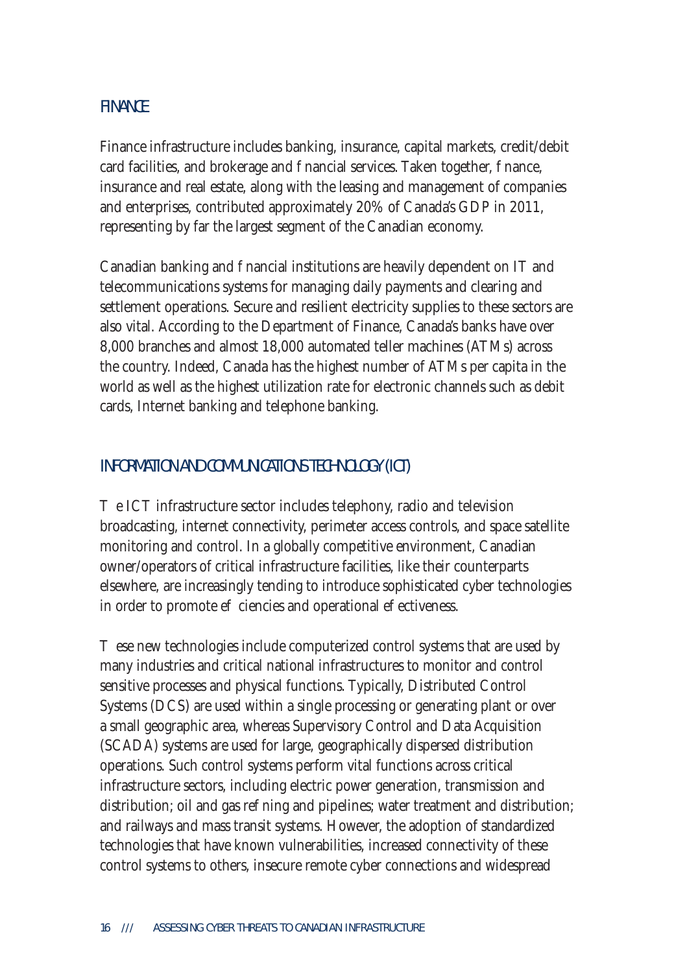#### FINANCE

Finance infrastructure includes banking, insurance, capital markets, credit/debit card facilities, and brokerage and nancial services. Taken together, nance, insurance and real estate, along with the leasing and management of companies and enterprises, contributed approximately 20% of Canada's GDP in 2011, representing by far the largest segment of the Canadian economy.

Canadian banking and nancial institutions are heavily dependent on IT and telecommunications systems for managing daily payments and clearing and settlement operations. Secure and resilient electricity supplies to these sectors are also vital. According to the Department of Finance, Canada's banks have over 8,000 branches and almost 18,000 automated teller machines (ATMs) across the country. Indeed, Canada has the highest number of ATMs per capita in the world as well as the highest utilization rate for electronic channels such as debit cards, Internet banking and telephone banking.

#### INFORMATION AND COMMUNICATIONS TECHNOLOGY (ICT)

e ICT infrastructure sector includes telephony, radio and television broadcasting, internet connectivity, perimeter access controls, and space satellite monitoring and control. In a globally competitive environment, Canadian owner/operators of critical infrastructure facilities, like their counterparts elsewhere, are increasingly tending to introduce sophisticated cyber technologies in order to promote e ciencies and operational e ectiveness.

ese new technologies include computerized control systems that are used by many industries and critical national infrastructures to monitor and control sensitive processes and physical functions. Typically, Distributed Control Systems (DCS) are used within a single processing or generating plant or over a small geographic area, whereas Supervisory Control and Data Acquisition (SCADA) systems are used for large, geographically dispersed distribution operations. Such control systems perform vital functions across critical infrastructure sectors, including electric power generation, transmission and distribution; oil and gas reeding and pipelines; water treatment and distribution; and railways and mass transit systems. However, the adoption of standardized technologies that have known vulnerabilities, increased connectivity of these control systems to others, insecure remote cyber connections and widespread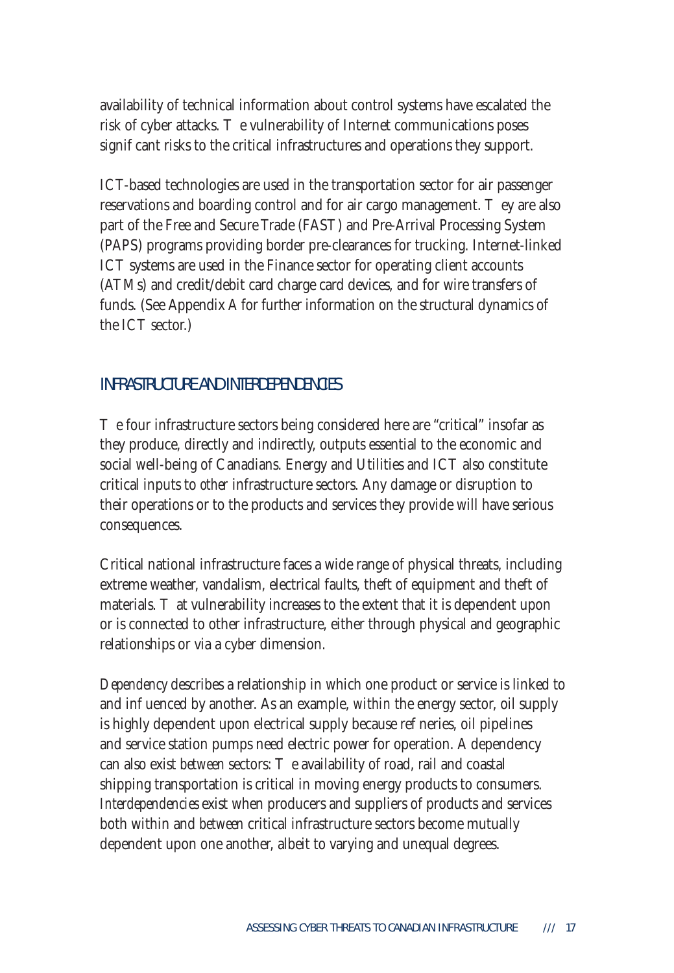availability of technical information about control systems have escalated the risk of cyber attacks. e vulnerability of Internet communications poses signi cant risks to the critical infrastructures and operations they support.

ICT-based technologies are used in the transportation sector for air passenger reservations and boarding control and for air cargo management. ye are also part of the Free and Secure Trade (FAST) and Pre-Arrival Processing System (PAPS) programs providing border pre-clearances for trucking. Internet-linked ICT systems are used in the Finance sector for operating client accounts (ATMs) and credit/debit card charge card devices, and for wire transfers of funds. (See Appendix A for further information on the structural dynamics of the ICT sector.)

#### INFRASTRUCTURE AND INTERDEPENDENCIES

e four infrastructure sectors being considered here are "critical" insofar as they produce, directly and indirectly, outputs essential to the economic and social well-being of Canadians. Energy and Utilities and ICT also constitute critical inputs to *other* infrastructure sectors. Any damage or disruption to their operations or to the products and services they provide will have serious consequences.

Critical national infrastructure faces a wide range of physical threats, including extreme weather, vandalism, electrical faults, theft of equipment and theft of materials. That vulnerability increases to the extent that it is dependent upon or is connected to other infrastructure, either through physical and geographic relationships or via a cyber dimension.

*Dependency* describes a relationship in which one product or service is linked to and in uenced by another. As an example, *within* the energy sector, oil supply is highly dependent upon electrical supply because re neries, oil pipelines and service station pumps need electric power for operation. A dependency can also exist *between* sectors: e availability of road, rail and coastal shipping transportation is critical in moving energy products to consumers. *Interdependencies* exist when producers and suppliers of products and services both within and *between* critical infrastructure sectors become mutually dependent upon one another, albeit to varying and unequal degrees.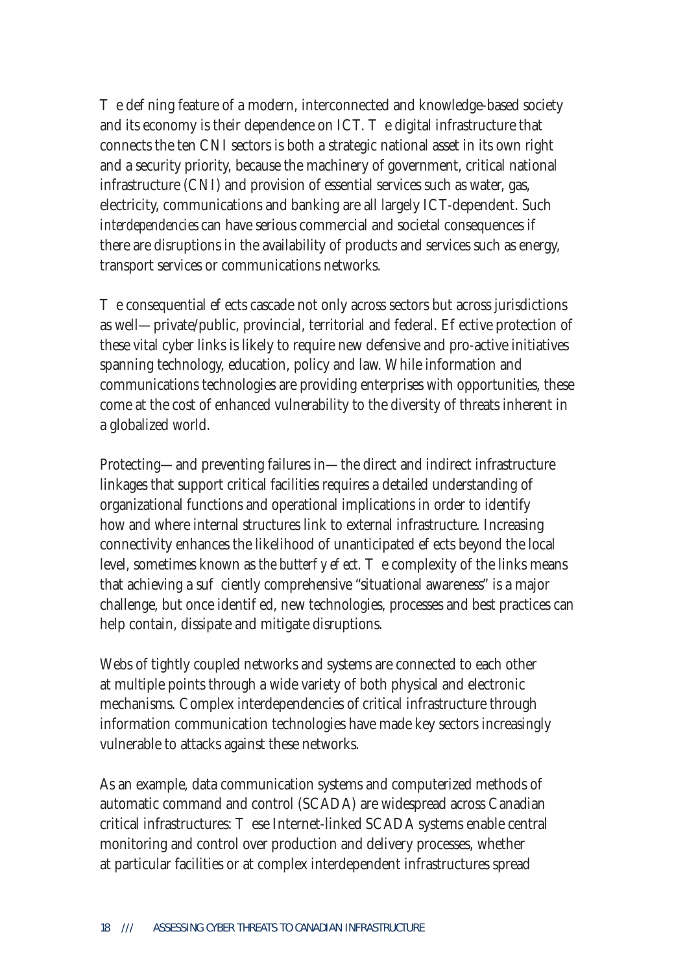e de ning feature of a modern, interconnected and knowledge-based society and its economy is their dependence on  $\text{ICT.}$  e digital infrastructure that connects the ten CNI sectors is both a strategic national asset in its own right and a security priority, because the machinery of government, critical national infrastructure (CNI) and provision of essential services such as water, gas, electricity, communications and banking are all largely ICT-dependent. Such *interdependencies* can have serious commercial and societal consequences if there are disruptions in the availability of products and services such as energy, transport services or communications networks.

e consequential e ects cascade not only across sectors but across jurisdictions as well—private/public, provincial, territorial and federal. E ective protection of these vital cyber links is likely to require new defensive and pro-active initiatives spanning technology, education, policy and law. While information and communications technologies are providing enterprises with opportunities, these come at the cost of enhanced vulnerability to the diversity of threats inherent in a globalized world.

Protecting—and preventing failures in—the direct and indirect infrastructure linkages that support critical facilities requires a detailed understanding of organizational functions and operational implications in order to identify how and where internal structures link to external infrastructure. Increasing connectivity enhances the likelihood of unanticipated e ects beyond the local level, sometimes known as *the butter y e ect.* a complexity of the links means that achieving a su ciently comprehensive "situational awareness" is a major challenge, but once identied, new technologies, processes and best practices can help contain, dissipate and mitigate disruptions.

Webs of tightly coupled networks and systems are connected to each other at multiple points through a wide variety of both physical and electronic mechanisms. Complex interdependencies of critical infrastructure through information communication technologies have made key sectors increasingly vulnerable to attacks against these networks.

As an example, data communication systems and computerized methods of automatic command and control (SCADA) are widespread across Canadian critical infrastructures: ese Internet-linked SCADA systems enable central monitoring and control over production and delivery processes, whether at particular facilities or at complex interdependent infrastructures spread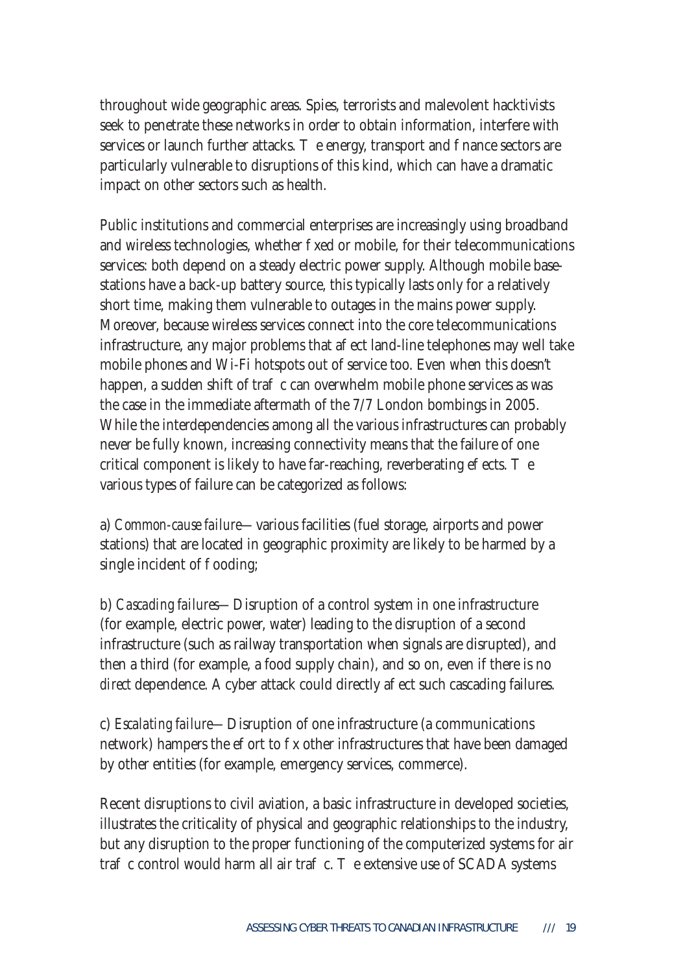throughout wide geographic areas. Spies, terrorists and malevolent hacktivists seek to penetrate these networks in order to obtain information, interfere with services or launch further attacks. e energy, transport and nance sectors are particularly vulnerable to disruptions of this kind, which can have a dramatic impact on other sectors such as health.

Public institutions and commercial enterprises are increasingly using broadband and wireless technologies, whether xed or mobile, for their telecommunications services: both depend on a steady electric power supply. Although mobile basestations have a back-up battery source, this typically lasts only for a relatively short time, making them vulnerable to outages in the mains power supply. Moreover, because wireless services connect into the core telecommunications infrastructure, any major problems that a ect land-line telephones may well take mobile phones and Wi-Fi hotspots out of service too. Even when this doesn't happen, a sudden shift of trangmometry can overwhelm mobile phone services as was the case in the immediate aftermath of the 7/7 London bombings in 2005. While the interdependencies among all the various infrastructures can probably never be fully known, increasing connectivity means that the failure of one critical component is likely to have far-reaching, reverberating  $e$  ects.  $e$ various types of failure can be categorized as follows:

a) *Common-cause failure—*various facilities (fuel storage, airports and power stations) that are located in geographic proximity are likely to be harmed by a single incident of ooding;

b) *Cascading failures—*Disruption of a control system in one infrastructure (for example, electric power, water) leading to the disruption of a second infrastructure (such as railway transportation when signals are disrupted), and then a third (for example, a food supply chain), and so on, even if there is no *direct* dependence. A cyber attack could directly a ect such cascading failures.

c) *Escalating failure—*Disruption of one infrastructure (a communications network) hampers the e ort to x other infrastructures that have been damaged by other entities (for example, emergency services, commerce).

Recent disruptions to civil aviation, a basic infrastructure in developed societies, illustrates the criticality of physical and geographic relationships to the industry, but any disruption to the proper functioning of the computerized systems for air tra  $\,$  c control would harm all air tra $\,$  c.  $\,$  e extensive use of SCADA systems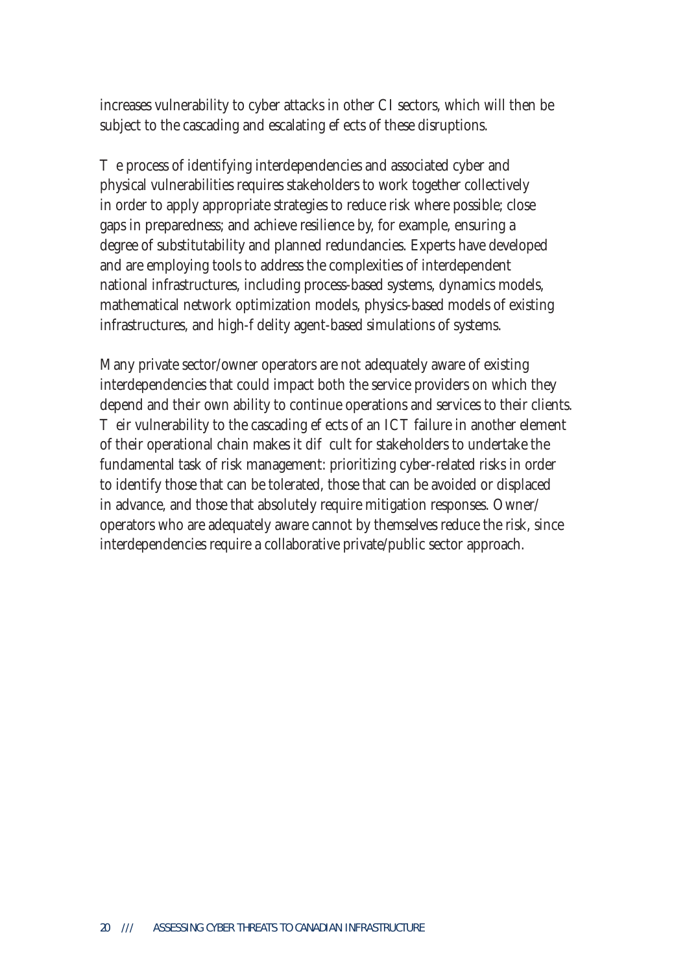increases vulnerability to cyber attacks in other CI sectors, which will then be subject to the cascading and escalating e ects of these disruptions.

e process of identifying interdependencies and associated cyber and physical vulnerabilities requires stakeholders to work together collectively in order to apply appropriate strategies to reduce risk where possible; close gaps in preparedness; and achieve resilience by, for example, ensuring a degree of substitutability and planned redundancies. Experts have developed and are employing tools to address the complexities of interdependent national infrastructures, including process-based systems, dynamics models, mathematical network optimization models, physics-based models of existing infrastructures, and high-delity agent-based simulations of systems.

Many private sector/owner operators are not adequately aware of existing interdependencies that could impact both the service providers on which they depend and their own ability to continue operations and services to their clients.

 $\overline{C}$  eir vulnerability to the cascading e  $\overline{C}$  ects of an ICT failure in another element of their operational chain makes it di cult for stakeholders to undertake the fundamental task of risk management: prioritizing cyber-related risks in order to identify those that can be tolerated, those that can be avoided or displaced in advance, and those that absolutely require mitigation responses. Owner/ operators who are adequately aware cannot by themselves reduce the risk, since interdependencies require a collaborative private/public sector approach.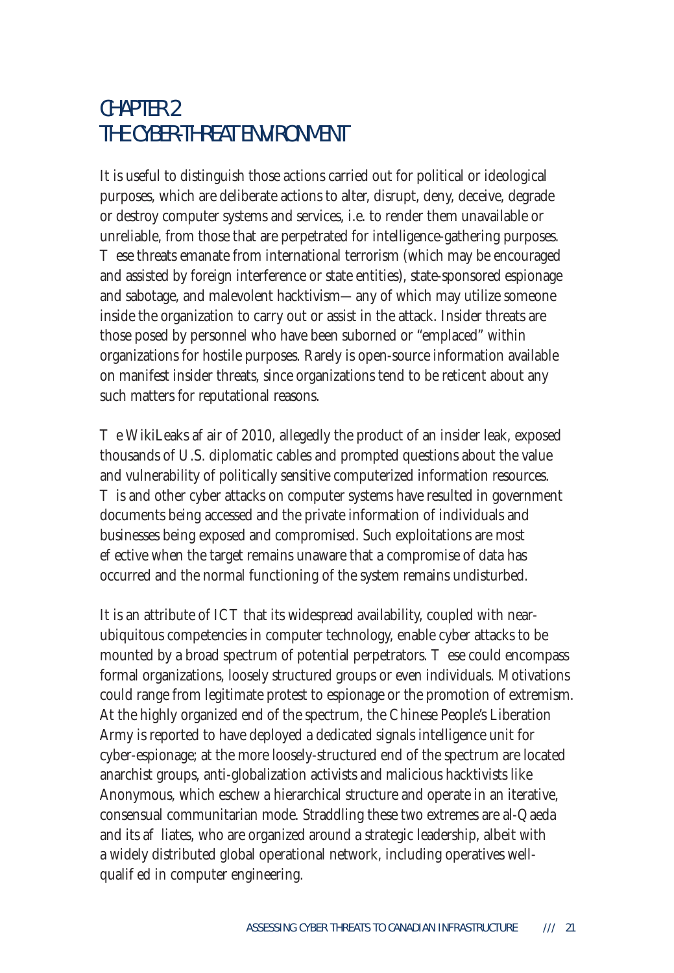## CHAPTER 2 THE CYBER-THREAT ENVIRONMENT

It is useful to distinguish those actions carried out for political or ideological purposes, which are deliberate actions to alter, disrupt, deny, deceive, degrade or destroy computer systems and services, i.e. to render them unavailable or unreliable, from those that are perpetrated for intelligence-gathering purposes.

ese threats emanate from international terrorism (which may be encouraged and assisted by foreign interference or state entities), state-sponsored espionage and sabotage, and malevolent hacktivism*—*any of which may utilize someone inside the organization to carry out or assist in the attack. Insider threats are those posed by personnel who have been suborned or "emplaced" within organizations for hostile purposes. Rarely is open-source information available on manifest insider threats, since organizations tend to be reticent about any such matters for reputational reasons.

e WikiLeaks a air of 2010, allegedly the product of an insider leak, exposed thousands of U.S. diplomatic cables and prompted questions about the value and vulnerability of politically sensitive computerized information resources.

is and other cyber attacks on computer systems have resulted in government documents being accessed and the private information of individuals and businesses being exposed and compromised. Such exploitations are most e ective when the target remains unaware that a compromise of data has occurred and the normal functioning of the system remains undisturbed.

It is an attribute of ICT that its widespread availability, coupled with nearubiquitous competencies in computer technology, enable cyber attacks to be mounted by a broad spectrum of potential perpetrators. ese could encompass formal organizations, loosely structured groups or even individuals. Motivations could range from legitimate protest to espionage or the promotion of extremism. At the highly organized end of the spectrum, the Chinese People's Liberation Army is reported to have deployed a dedicated signals intelligence unit for cyber-espionage; at the more loosely-structured end of the spectrum are located anarchist groups, anti-globalization activists and malicious hacktivists like Anonymous, which eschew a hierarchical structure and operate in an iterative, consensual communitarian mode. Straddling these two extremes are al-Qaeda and its a liates, who are organized around a strategic leadership, albeit with a widely distributed global operational network, including operatives wellquali ed in computer engineering.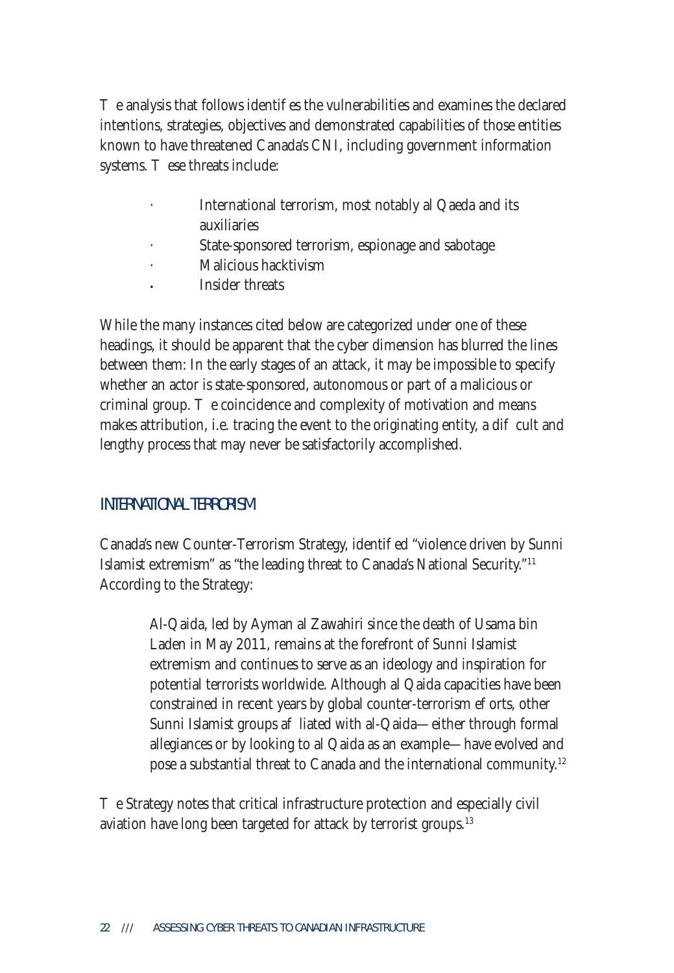e analysis that follows identi es the vulnerabilities and examines the declared intentions, strategies, objectives and demonstrated capabilities of those entities known to have threatened Canada's CNI, including government information systems. ese threats include:

- International terrorism, most notably al Qaeda and its auxiliaries
- State-sponsored terrorism, espionage and sabotage
- · Malicious hacktivism
- **·** Insider threats

While the many instances cited below are categorized under one of these headings, it should be apparent that the cyber dimension has blurred the lines between them: In the early stages of an attack, it may be impossible to specify whether an actor is state-sponsored, autonomous or part of a malicious or criminal group. e coincidence and complexity of motivation and means makes attribution, i.e. tracing the event to the originating entity, a di cult and lengthy process that may never be satisfactorily accomplished.

#### INTERNATIONAL TERRORISM

Canada's new Counter-Terrorism Strategy, identi ed "violence driven by Sunni Islamist extremism" as "the leading threat to Canada's National Security."11 According to the Strategy:

> Al-Qaida, led by Ayman al Zawahiri since the death of Usama bin Laden in May 2011, remains at the forefront of Sunni Islamist extremism and continues to serve as an ideology and inspiration for potential terrorists worldwide. Although al Qaida capacities have been constrained in recent years by global counter-terrorism e orts, other Sunni Islamist groups a liated with al-Qaida—either through formal allegiances or by looking to al Qaida as an example—have evolved and pose a substantial threat to Canada and the international community.12

e Strategy notes that critical infrastructure protection and especially civil aviation have long been targeted for attack by terrorist groups.<sup>13</sup>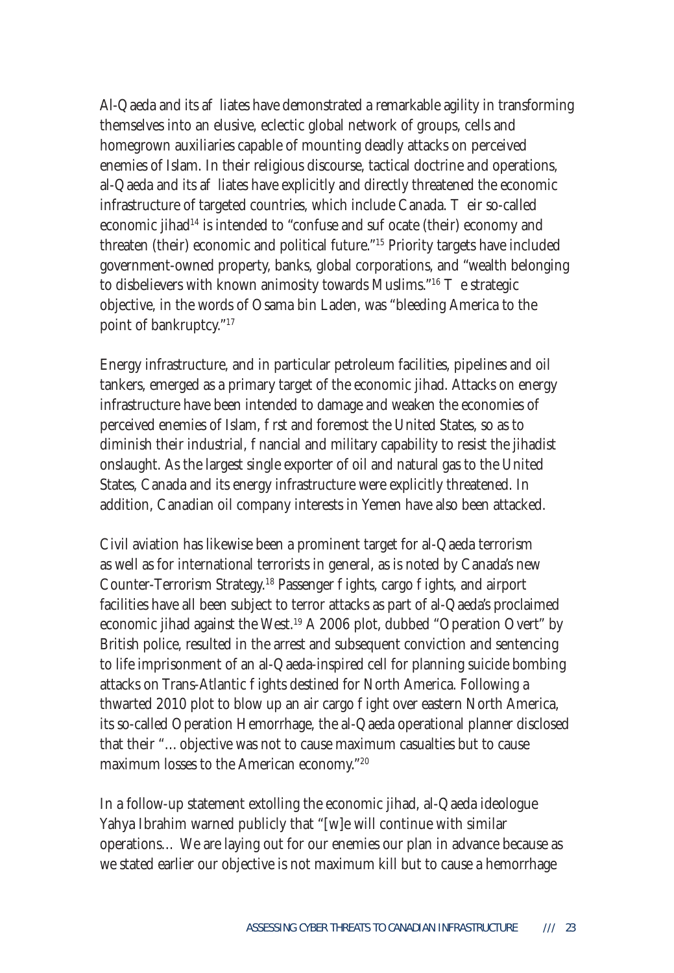Al-Qaeda and its a liates have demonstrated a remarkable agility in transforming themselves into an elusive, eclectic global network of groups, cells and homegrown auxiliaries capable of mounting deadly attacks on perceived enemies of Islam. In their religious discourse, tactical doctrine and operations, al-Qaeda and its a liates have explicitly and directly threatened the economic infrastructure of targeted countries, which include Canada. eir so-called economic jihad<sup>14</sup> is intended to "confuse and su  $\alpha$  ocate (their) economy and threaten (their) economic and political future."15 Priority targets have included government-owned property, banks, global corporations, and "wealth belonging to disbelievers with known animosity towards Muslims." $16$  e strategic objective, in the words of Osama bin Laden, was "bleeding America to the point of bankruptcy."17

Energy infrastructure, and in particular petroleum facilities, pipelines and oil tankers, emerged as a primary target of the economic jihad. Attacks on energy infrastructure have been intended to damage and weaken the economies of perceived enemies of Islam, rst and foremost the United States, so as to diminish their industrial, nancial and military capability to resist the jihadist onslaught. As the largest single exporter of oil and natural gas to the United States, Canada and its energy infrastructure were explicitly threatened. In addition, Canadian oil company interests in Yemen have also been attacked.

Civil aviation has likewise been a prominent target for al-Qaeda terrorism as well as for international terrorists in general, as is noted by Canada's new Counter-Terrorism Strategy.<sup>18</sup> Passenger ights, cargo ights, and airport facilities have all been subject to terror attacks as part of al-Qaeda's proclaimed economic jihad against the West.19 A 2006 plot, dubbed "Operation Overt" by British police, resulted in the arrest and subsequent conviction and sentencing to life imprisonment of an al-Qaeda-inspired cell for planning suicide bombing attacks on Trans-Atlantic ights destined for North America. Following a thwarted 2010 plot to blow up an air cargo ight over eastern North America, its so-called Operation Hemorrhage, the al-Qaeda operational planner disclosed that their "…objective was not to cause maximum casualties but to cause maximum losses to the American economy."20

In a follow-up statement extolling the economic jihad, al-Qaeda ideologue Yahya Ibrahim warned publicly that "[w]e will continue with similar operations… We are laying out for our enemies our plan in advance because as we stated earlier our objective is not maximum kill but to cause a hemorrhage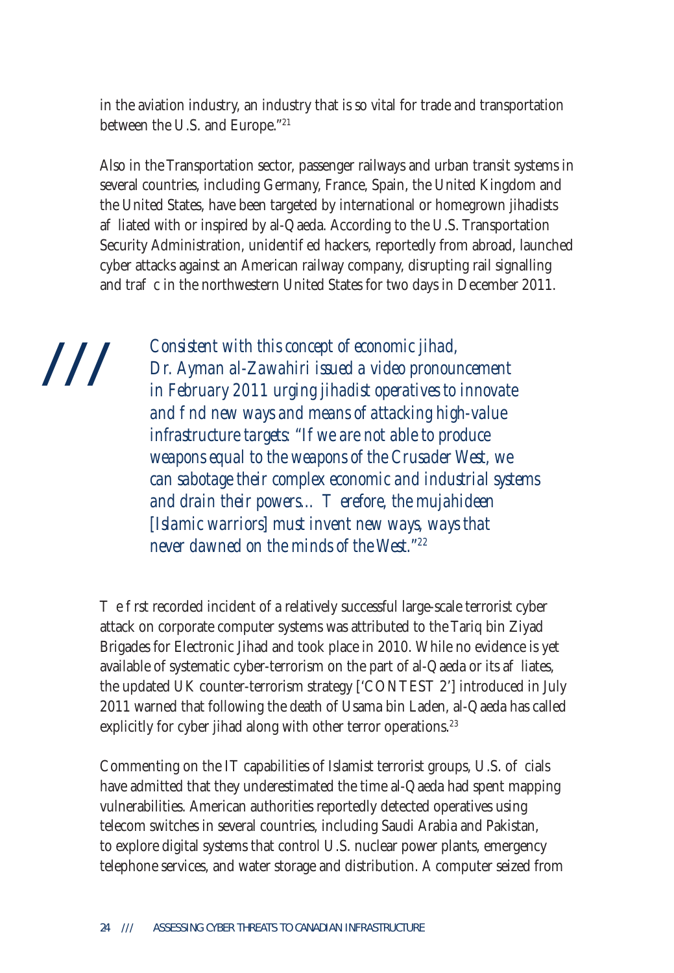in the aviation industry, an industry that is so vital for trade and transportation between the U.S. and Europe."21

Also in the Transportation sector, passenger railways and urban transit systems in several countries, including Germany, France, Spain, the United Kingdom and the United States, have been targeted by international or homegrown jihadists a liated with or inspired by al-Qaeda. According to the U.S. Transportation Security Administration, unidenti ed hackers, reportedly from abroad, launched cyber attacks against an American railway company, disrupting rail signalling and tra c in the northwestern United States for two days in December 2011.

///

*Consistent with this concept of economic jihad, Dr. Ayman al-Zawahiri issued a video pronouncement in February 2011 urging jihadist operatives to innovate and find new ways and means of attacking high-value infrastructure targets: "If we are not able to produce weapons equal to the weapons of the Crusader West, we can sabotage their complex economic and industrial systems*  and drain their powers... erefore, the mujahideen *[Islamic warriors] must invent new ways, ways that never dawned on the minds of the West."22*

e rst recorded incident of a relatively successful large-scale terrorist cyber attack on corporate computer systems was attributed to the Tariq bin Ziyad Brigades for Electronic Jihad and took place in 2010. While no evidence is yet available of systematic cyber-terrorism on the part of al-Qaeda or its a liates, the updated UK counter-terrorism strategy ['CONTEST 2'] introduced in July 2011 warned that following the death of Usama bin Laden, al-Qaeda has called explicitly for cyber jihad along with other terror operations.<sup>23</sup>

Commenting on the IT capabilities of Islamist terrorist groups,  $U.S.$  of cials have admitted that they underestimated the time al-Qaeda had spent mapping vulnerabilities. American authorities reportedly detected operatives using telecom switches in several countries, including Saudi Arabia and Pakistan, to explore digital systems that control U.S. nuclear power plants, emergency telephone services, and water storage and distribution. A computer seized from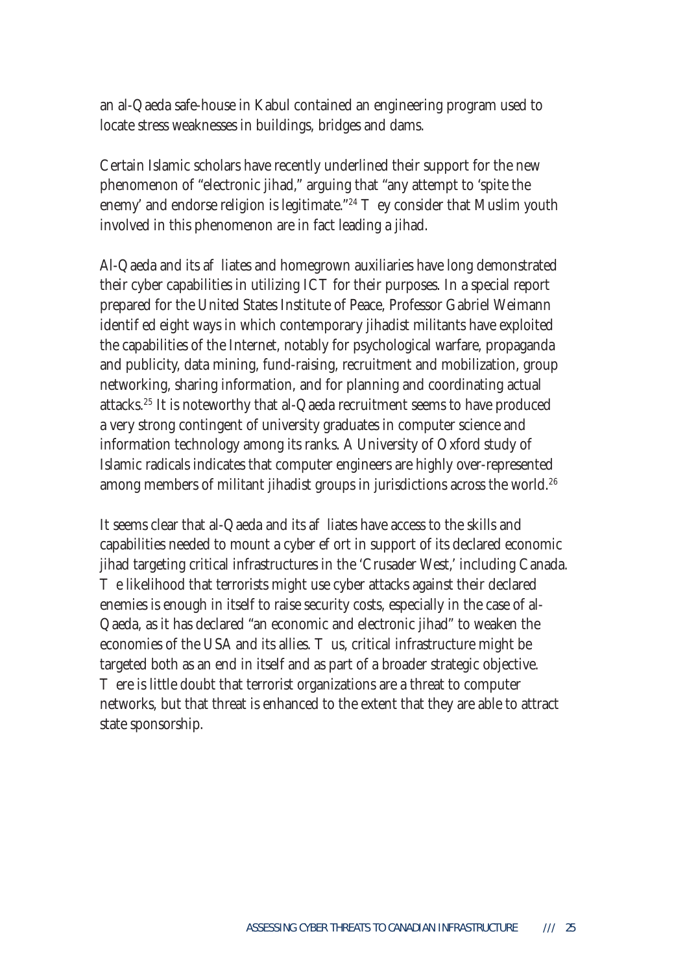an al-Qaeda safe-house in Kabul contained an engineering program used to locate stress weaknesses in buildings, bridges and dams.

Certain Islamic scholars have recently underlined their support for the new phenomenon of "electronic jihad," arguing that "any attempt to 'spite the enemy' and endorse religion is legitimate."<sup>24</sup> ey consider that Muslim youth involved in this phenomenon are in fact leading a jihad.

Al-Qaeda and its a liates and homegrown auxiliaries have long demonstrated their cyber capabilities in utilizing ICT for their purposes. In a special report prepared for the United States Institute of Peace, Professor Gabriel Weimann identi ed eight ways in which contemporary jihadist militants have exploited the capabilities of the Internet, notably for psychological warfare, propaganda and publicity, data mining, fund-raising, recruitment and mobilization, group networking, sharing information, and for planning and coordinating actual attacks.25 It is noteworthy that al-Qaeda recruitment seems to have produced a very strong contingent of university graduates in computer science and information technology among its ranks. A University of Oxford study of Islamic radicals indicates that computer engineers are highly over-represented among members of militant jihadist groups in jurisdictions across the world.<sup>26</sup>

It seems clear that al-Qaeda and its a liates have access to the skills and capabilities needed to mount a cyber e ort in support of its declared economic jihad targeting critical infrastructures in the 'Crusader West,' including Canada.

e likelihood that terrorists might use cyber attacks against their declared enemies is enough in itself to raise security costs, especially in the case of al-Qaeda, as it has declared "an economic and electronic jihad" to weaken the economies of the USA and its allies. us, critical infrastructure might be targeted both as an end in itself and as part of a broader strategic objective.

ere is little doubt that terrorist organizations are a threat to computer networks, but that threat is enhanced to the extent that they are able to attract state sponsorship.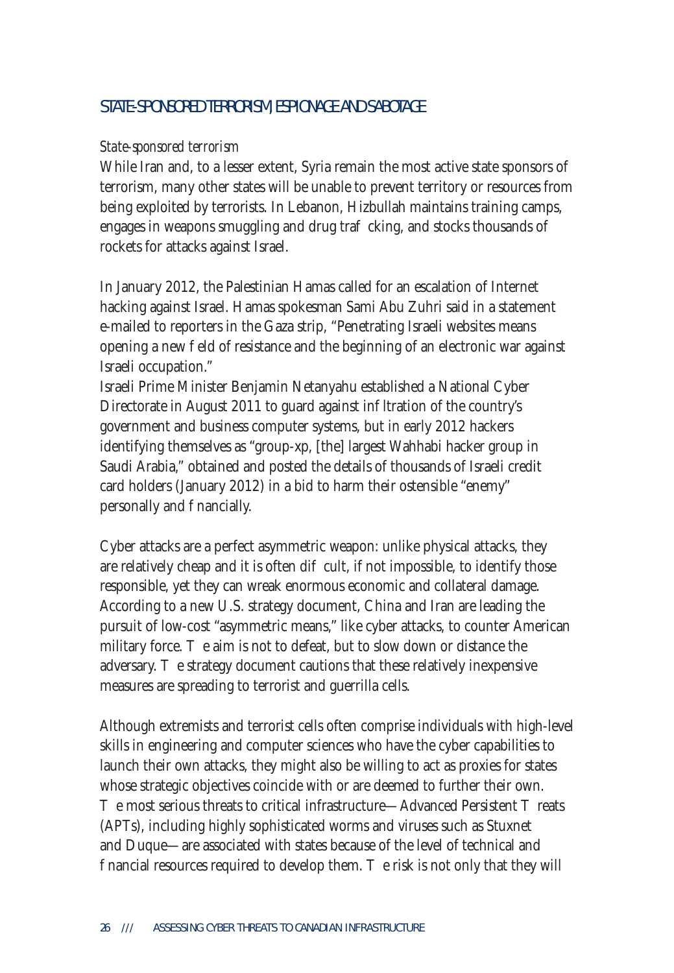#### STATE-SPONSORED TERRORISM, ESPIONAGE AND SABOTAGE

#### *State-sponsored terrorism*

While Iran and, to a lesser extent, Syria remain the most active state sponsors of terrorism, many other states will be unable to prevent territory or resources from being exploited by terrorists. In Lebanon, Hizbullah maintains training camps, engages in weapons smuggling and drug tra cking, and stocks thousands of rockets for attacks against Israel.

In January 2012, the Palestinian Hamas called for an escalation of Internet hacking against Israel. Hamas spokesman Sami Abu Zuhri said in a statement e-mailed to reporters in the Gaza strip, "Penetrating Israeli websites means opening a new eld of resistance and the beginning of an electronic war against Israeli occupation."

Israeli Prime Minister Benjamin Netanyahu established a National Cyber Directorate in August 2011 to guard against in Itration of the country's government and business computer systems, but in early 2012 hackers identifying themselves as "group-xp, [the] largest Wahhabi hacker group in Saudi Arabia," obtained and posted the details of thousands of Israeli credit card holders (January 2012) in a bid to harm their ostensible "enemy" personally and nancially.

Cyber attacks are a perfect asymmetric weapon: unlike physical attacks, they are relatively cheap and it is often di cult, if not impossible, to identify those responsible, yet they can wreak enormous economic and collateral damage. According to a new U.S. strategy document, China and Iran are leading the pursuit of low-cost "asymmetric means," like cyber attacks, to counter American military force. e aim is not to defeat, but to slow down or distance the adversary. e strategy document cautions that these relatively inexpensive measures are spreading to terrorist and guerrilla cells.

Although extremists and terrorist cells often comprise individuals with high-level skills in engineering and computer sciences who have the cyber capabilities to launch their own attacks, they might also be willing to act as proxies for states whose strategic objectives coincide with or are deemed to further their own.

e most serious threats to critical infrastructure—Advanced Persistent reats (APTs), including highly sophisticated worms and viruses such as Stuxnet and Duque—are associated with states because of the level of technical and nancial resources required to develop them. The risk is not only that they will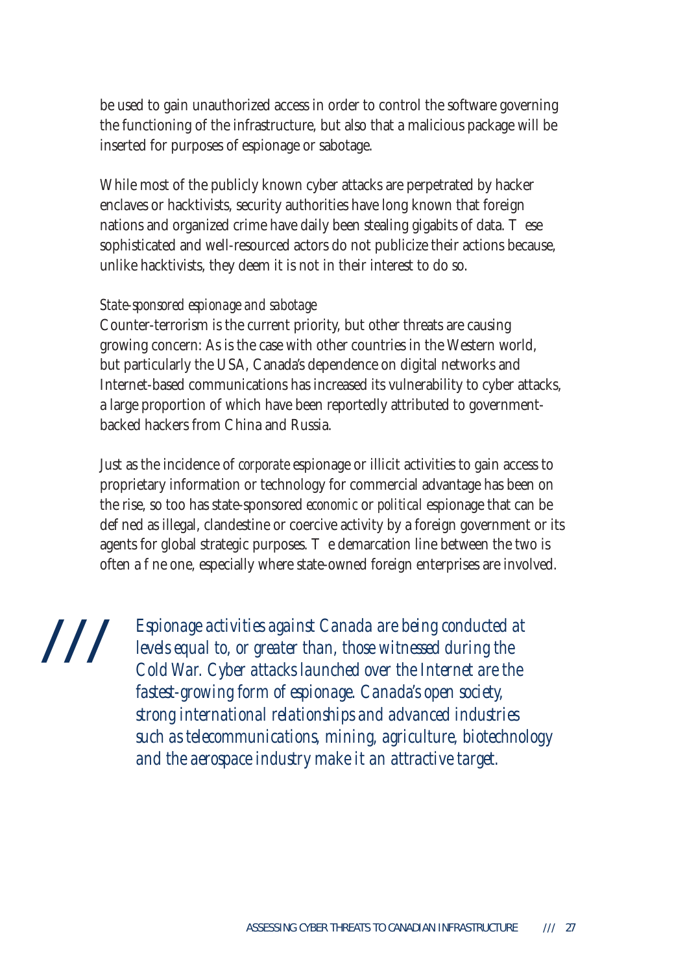be used to gain unauthorized access in order to control the software governing the functioning of the infrastructure, but also that a malicious package will be inserted for purposes of espionage or sabotage.

While most of the publicly known cyber attacks are perpetrated by hacker enclaves or hacktivists, security authorities have long known that foreign nations and organized crime have daily been stealing gigabits of data. ese sophisticated and well-resourced actors do not publicize their actions because, unlike hacktivists, they deem it is not in their interest to do so.

#### *State-sponsored espionage and sabotage*

Counter-terrorism is the current priority, but other threats are causing growing concern: As is the case with other countries in the Western world, but particularly the USA, Canada's dependence on digital networks and Internet-based communications has increased its vulnerability to cyber attacks, a large proportion of which have been reportedly attributed to governmentbacked hackers from China and Russia.

Just as the incidence of *corporate* espionage or illicit activities to gain access to proprietary information or technology for commercial advantage has been on the rise, so too has state-sponsored *economic* or *political* espionage that can be de ned as illegal, clandestine or coercive activity by a foreign government or its agents for global strategic purposes. e demarcation line between the two is often a ne one, especially where state-owned foreign enterprises are involved.

///

*Espionage activities against Canada are being conducted at levels equal to, or greater than, those witnessed during the Cold War. Cyber attacks launched over the Internet are the fastest-growing form of espionage. Canada's open society, strong international relationships and advanced industries such as telecommunications, mining, agriculture, biotechnology and the aerospace industry make it an attractive target.*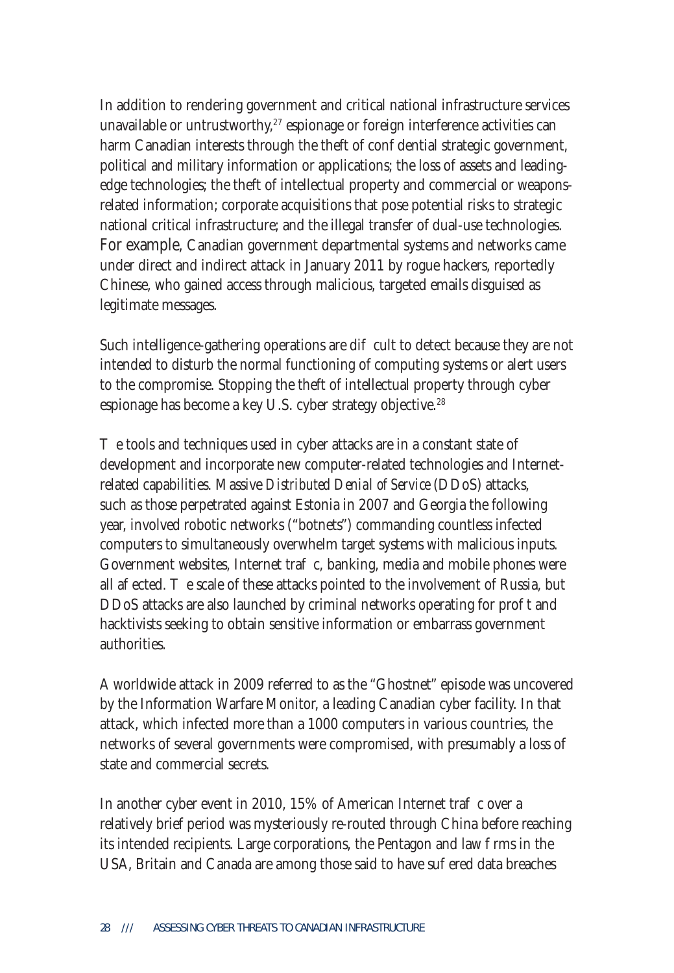In addition to rendering government and critical national infrastructure services unavailable or untrustworthy, $27$  espionage or foreign interference activities can harm Canadian interests through the theft of con dential strategic government, political and military information or applications; the loss of assets and leadingedge technologies; the theft of intellectual property and commercial or weaponsrelated information; corporate acquisitions that pose potential risks to strategic national critical infrastructure; and the illegal transfer of dual-use technologies. For example, Canadian government departmental systems and networks came under direct and indirect attack in January 2011 by rogue hackers, reportedly Chinese, who gained access through malicious, targeted emails disguised as legitimate messages.

Such intelligence-gathering operations are di cult to detect because they are not intended to disturb the normal functioning of computing systems or alert users to the compromise. Stopping the theft of intellectual property through cyber espionage has become a key U.S. cyber strategy objective.<sup>28</sup>

e tools and techniques used in cyber attacks are in a constant state of development and incorporate new computer-related technologies and Internetrelated capabilities. Massive *Distributed Denial of Service* (DDoS) attacks, such as those perpetrated against Estonia in 2007 and Georgia the following year, involved robotic networks ("botnets") commanding countless infected computers to simultaneously overwhelm target systems with malicious inputs. Government websites, Internet tra  $\,$  c, banking, media and mobile phones were all a ected. e scale of these attacks pointed to the involvement of Russia, but DDoS attacks are also launched by criminal networks operating for profit and hacktivists seeking to obtain sensitive information or embarrass government authorities.

A worldwide attack in 2009 referred to as the "Ghostnet" episode was uncovered by the Information Warfare Monitor, a leading Canadian cyber facility. In that attack, which infected more than a 1000 computers in various countries, the networks of several governments were compromised, with presumably a loss of state and commercial secrets.

In another cyber event in 2010,  $15\%$  of American Internet tra c over a relatively brief period was mysteriously re-routed through China before reaching its intended recipients. Large corporations, the Pentagon and law rms in the USA, Britain and Canada are among those said to have sue red data breaches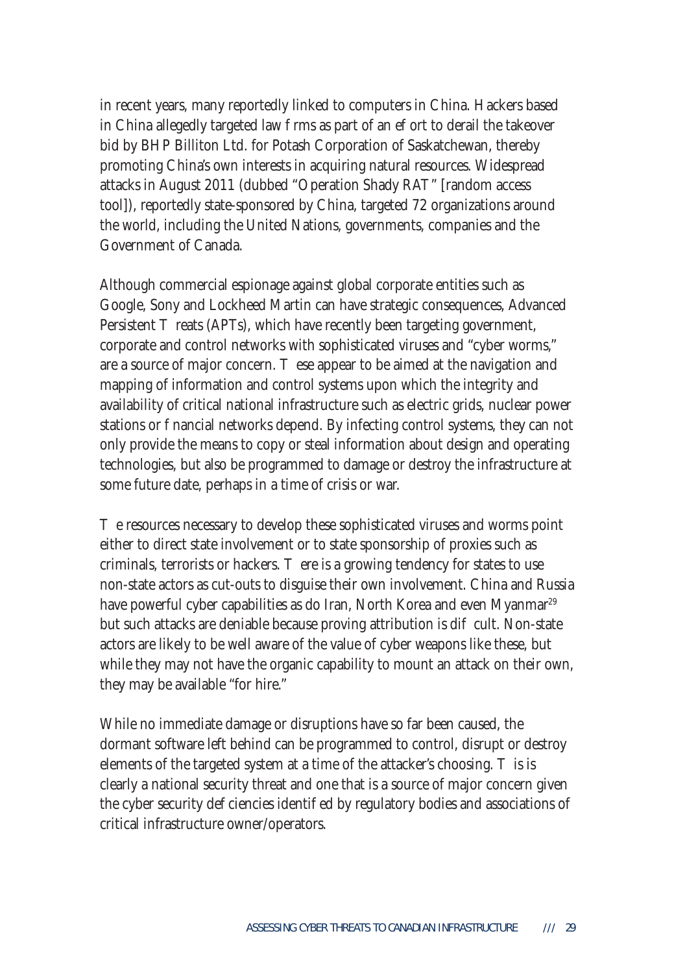in recent years, many reportedly linked to computers in China. Hackers based in China allegedly targeted law firms as part of an ee ort to derail the takeover bid by BHP Billiton Ltd. for Potash Corporation of Saskatchewan, thereby promoting China's own interests in acquiring natural resources. Widespread attacks in August 2011 (dubbed "Operation Shady RAT" [random access tool]), reportedly state-sponsored by China, targeted 72 organizations around the world, including the United Nations, governments, companies and the Government of Canada.

Although commercial espionage against global corporate entities such as Google, Sony and Lockheed Martin can have strategic consequences, Advanced Persistent reats (APTs), which have recently been targeting government, corporate and control networks with sophisticated viruses and "cyber worms," are a source of major concern. ese appear to be aimed at the navigation and mapping of information and control systems upon which the integrity and availability of critical national infrastructure such as electric grids, nuclear power stations or hancial networks depend. By infecting control systems, they can not only provide the means to copy or steal information about design and operating technologies, but also be programmed to damage or destroy the infrastructure at some future date, perhaps in a time of crisis or war.

 $\epsilon$  resources necessary to develop these sophisticated viruses and worms point either to direct state involvement or to state sponsorship of proxies such as criminals, terrorists or hackers. ere is a growing tendency for states to use non-state actors as cut-outs to disguise their own involvement. China and Russia have powerful cyber capabilities as do Iran, North Korea and even Myanmar<sup>29</sup> but such attacks are deniable because proving attribution is di cult. Non-state actors are likely to be well aware of the value of cyber weapons like these, but while they may not have the organic capability to mount an attack on their own, they may be available "for hire."

While no immediate damage or disruptions have so far been caused, the dormant software left behind can be programmed to control, disrupt or destroy elements of the targeted system at a time of the attacker's choosing. is is clearly a national security threat and one that is a source of major concern given the cyber security de ciencies identied by regulatory bodies and associations of critical infrastructure owner/operators.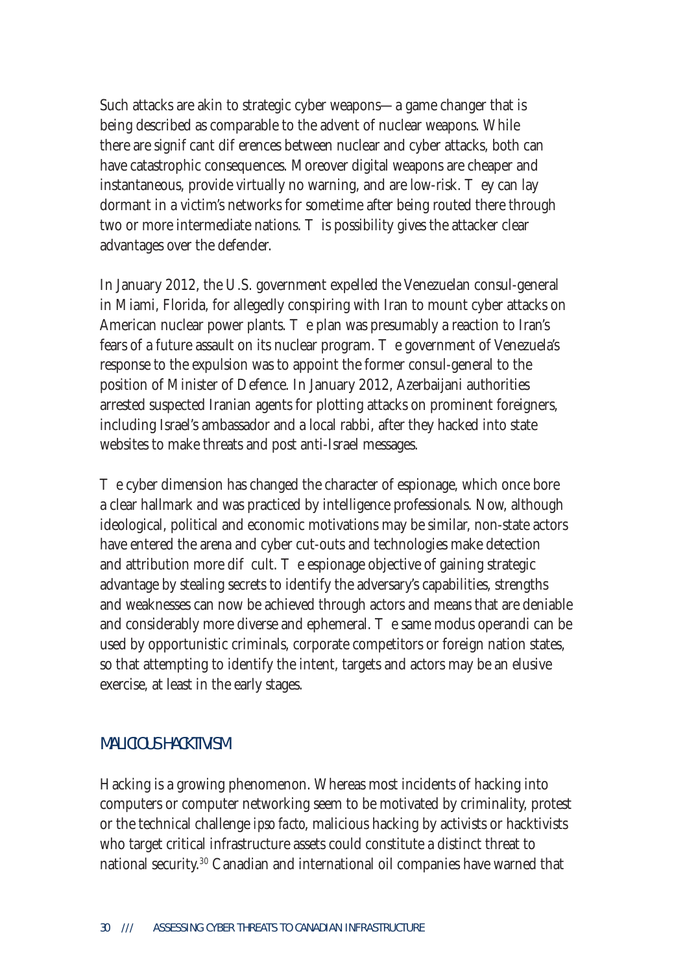Such attacks are akin to strategic cyber weapons—a game changer that is being described as comparable to the advent of nuclear weapons. While there are signicant dieferences between nuclear and cyber attacks, both can have catastrophic consequences. Moreover digital weapons are cheaper and instantaneous, provide virtually no warning, and are low-risk. ey can lay dormant in a victim's networks for sometime after being routed there through two or more intermediate nations. Is possibility gives the attacker clear advantages over the defender.

In January 2012, the U.S. government expelled the Venezuelan consul-general in Miami, Florida, for allegedly conspiring with Iran to mount cyber attacks on American nuclear power plants. e plan was presumably a reaction to Iran's fears of a future assault on its nuclear program. e government of Venezuela's response to the expulsion was to appoint the former consul-general to the position of Minister of Defence. In January 2012, Azerbaijani authorities arrested suspected Iranian agents for plotting attacks on prominent foreigners, including Israel's ambassador and a local rabbi, after they hacked into state websites to make threats and post anti-Israel messages.

e cyber dimension has changed the character of espionage, which once bore a clear hallmark and was practiced by intelligence professionals. Now, although ideological, political and economic motivations may be similar, non-state actors have entered the arena and cyber cut-outs and technologies make detection and attribution more dicult. e espionage objective of gaining strategic advantage by stealing secrets to identify the adversary's capabilities, strengths and weaknesses can now be achieved through actors and means that are deniable and considerably more diverse and ephemeral. The same modus operandi can be used by opportunistic criminals, corporate competitors or foreign nation states, so that attempting to identify the intent, targets and actors may be an elusive exercise, at least in the early stages.

#### MALICIOUS HACKTIVISM

Hacking is a growing phenomenon. Whereas most incidents of hacking into computers or computer networking seem to be motivated by criminality, protest or the technical challenge *ipso facto*, malicious hacking by activists or hacktivists who target critical infrastructure assets could constitute a distinct threat to national security.30 Canadian and international oil companies have warned that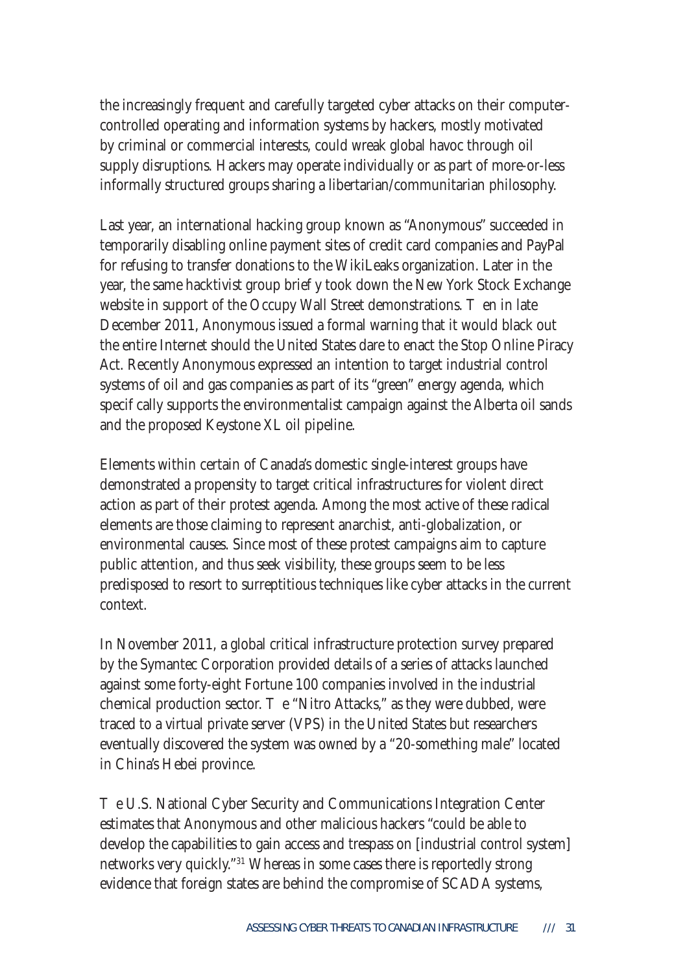the increasingly frequent and carefully targeted cyber attacks on their computercontrolled operating and information systems by hackers, mostly motivated by criminal or commercial interests, could wreak global havoc through oil supply disruptions. Hackers may operate individually or as part of more-or-less informally structured groups sharing a libertarian/communitarian philosophy.

Last year, an international hacking group known as "Anonymous" succeeded in temporarily disabling online payment sites of credit card companies and PayPal for refusing to transfer donations to the WikiLeaks organization. Later in the year, the same hacktivist group brietly took down the New York Stock Exchange website in support of the Occupy Wall Street demonstrations. Then in late December 2011, Anonymous issued a formal warning that it would black out the entire Internet should the United States dare to enact the Stop Online Piracy Act. Recently Anonymous expressed an intention to target industrial control systems of oil and gas companies as part of its "green" energy agenda, which speci cally supports the environmentalist campaign against the Alberta oil sands and the proposed Keystone XL oil pipeline.

Elements within certain of Canada's domestic single-interest groups have demonstrated a propensity to target critical infrastructures for violent direct action as part of their protest agenda. Among the most active of these radical elements are those claiming to represent anarchist, anti-globalization, or environmental causes. Since most of these protest campaigns aim to capture public attention, and thus seek visibility, these groups seem to be less predisposed to resort to surreptitious techniques like cyber attacks in the current context.

In November 2011, a global critical infrastructure protection survey prepared by the Symantec Corporation provided details of a series of attacks launched against some forty-eight Fortune 100 companies involved in the industrial chemical production sector. e "Nitro Attacks," as they were dubbed, were traced to a virtual private server (VPS) in the United States but researchers eventually discovered the system was owned by a "20-something male" located in China's Hebei province.

e U.S. National Cyber Security and Communications Integration Center estimates that Anonymous and other malicious hackers "could be able to develop the capabilities to gain access and trespass on [industrial control system] networks very quickly."31 Whereas in some cases there is reportedly strong evidence that foreign states are behind the compromise of SCADA systems,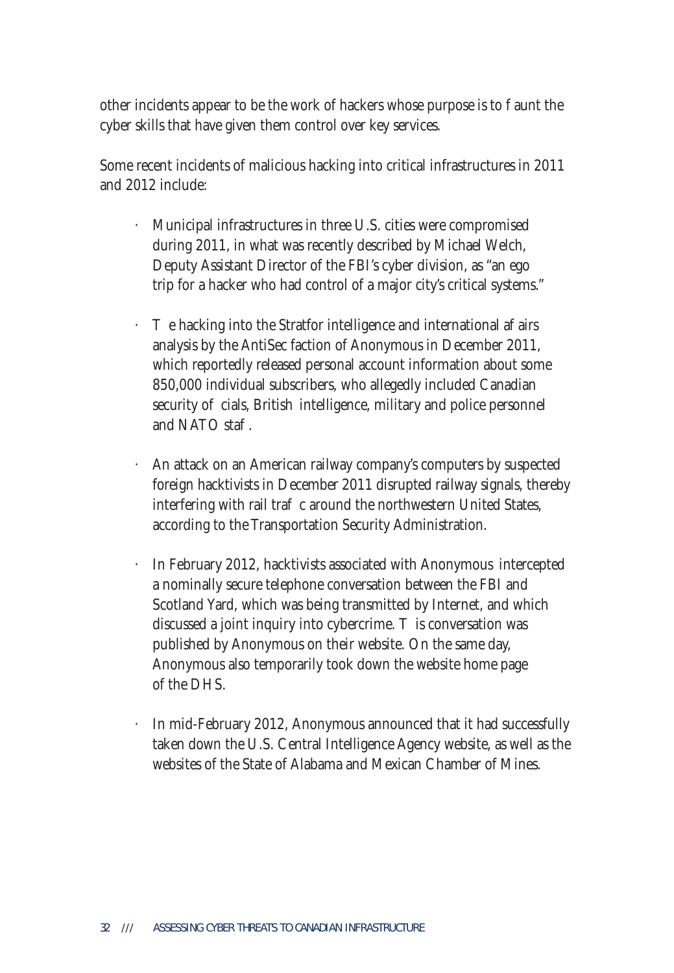other incidents appear to be the work of hackers whose purpose is to aunt the cyber skills that have given them control over key services.

Some recent incidents of malicious hacking into critical infrastructures in 2011 and 2012 include:

- · Municipal infrastructures in three U.S. cities were compromised during 2011, in what was recently described by Michael Welch, Deputy Assistant Director of the FBI's cyber division, as "an ego trip for a hacker who had control of a major city's critical systems."
- e hacking into the Stratfor intelligence and international a airs analysis by the AntiSec faction of Anonymous in December 2011, which reportedly released personal account information about some 850,000 individual subscribers, who allegedly included Canadian security o cials, British intelligence, military and police personnel and NATO sta $\Box$
- An attack on an American railway company's computers by suspected foreign hacktivists in December 2011 disrupted railway signals, thereby interfering with rail tra $\epsilon$  c around the northwestern United States, according to the Transportation Security Administration.
- In February 2012, hacktivists associated with Anonymous intercepted a nominally secure telephone conversation between the FBI and Scotland Yard, which was being transmitted by Internet, and which discussed a joint inquiry into cybercrime. is conversation was published by Anonymous on their website. On the same day, Anonymous also temporarily took down the website home page of the DHS.
- In mid-February 2012, Anonymous announced that it had successfully taken down the U.S. Central Intelligence Agency website, as well as the websites of the State of Alabama and Mexican Chamber of Mines.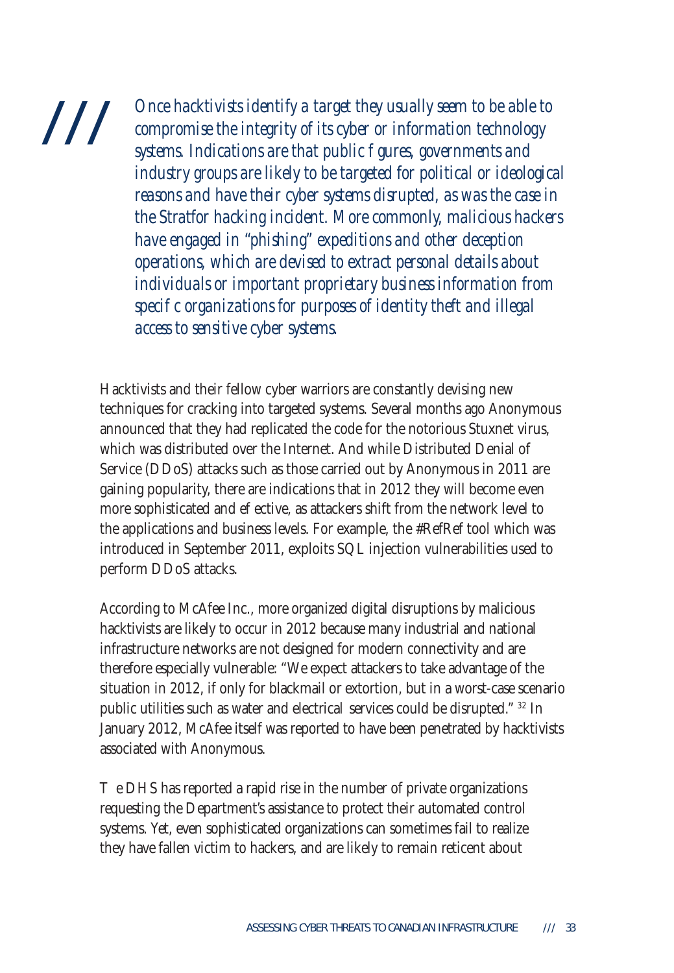# ///

*Once hacktivists identify a target they usually seem to be able to compromise the integrity of its cyber or information technology systems. Indications are that public figures, governments and industry groups are likely to be targeted for political or ideological reasons and have their cyber systems disrupted, as was the case in the Stratfor hacking incident. More commonly, malicious hackers have engaged in "phishing" expeditions and other deception operations, which are devised to extract personal details about individuals or important proprietary business information from*  speci c organizations for purposes of identity theft and illegal *access to sensitive cyber systems.*

Hacktivists and their fellow cyber warriors are constantly devising new techniques for cracking into targeted systems. Several months ago Anonymous announced that they had replicated the code for the notorious Stuxnet virus, which was distributed over the Internet. And while Distributed Denial of Service (DDoS) attacks such as those carried out by Anonymous in 2011 are gaining popularity, there are indications that in 2012 they will become even more sophisticated and e ective, as attackers shift from the network level to the applications and business levels. For example, the #RefRef tool which was introduced in September 2011, exploits SQL injection vulnerabilities used to perform DDoS attacks.

According to McAfee Inc., more organized digital disruptions by malicious hacktivists are likely to occur in 2012 because many industrial and national infrastructure networks are not designed for modern connectivity and are therefore especially vulnerable: "We expect attackers to take advantage of the situation in 2012, if only for blackmail or extortion, but in a worst-case scenario public utilities such as water and electrical services could be disrupted." 32 In January 2012, McAfee itself was reported to have been penetrated by hacktivists associated with Anonymous.

e DHS has reported a rapid rise in the number of private organizations requesting the Department's assistance to protect their automated control systems. Yet, even sophisticated organizations can sometimes fail to realize they have fallen victim to hackers, and are likely to remain reticent about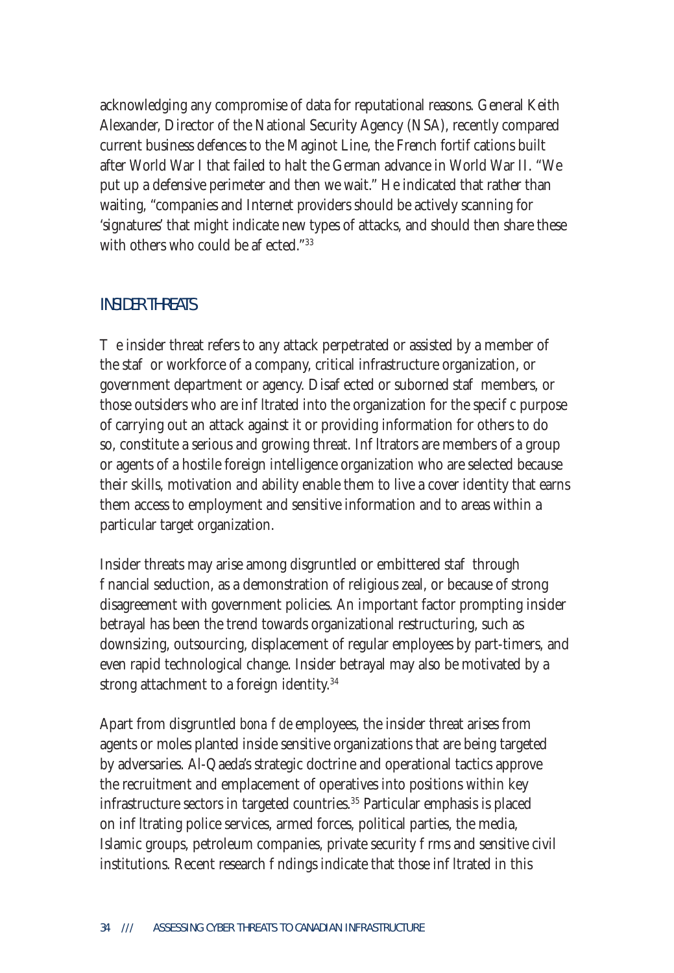acknowledging any compromise of data for reputational reasons. General Keith Alexander, Director of the National Security Agency (NSA), recently compared current business defences to the Maginot Line, the French fortications built after World War I that failed to halt the German advance in World War II. "We put up a defensive perimeter and then we wait." He indicated that rather than waiting, "companies and Internet providers should be actively scanning for 'signatures' that might indicate new types of attacks, and should then share these with others who could be a  $ected."$ <sup>33</sup>

#### INSIDER THREATS

e insider threat refers to any attack perpetrated or assisted by a member of the sta or workforce of a company, critical infrastructure organization, or government department or agency. Disa ected or suborned sta members, or those outsiders who are in Itrated into the organization for the speci c purpose of carrying out an attack against it or providing information for others to do so, constitute a serious and growing threat. In Itrators are members of a group or agents of a hostile foreign intelligence organization who are selected because their skills, motivation and ability enable them to live a cover identity that earns them access to employment and sensitive information and to areas within a particular target organization.

Insider threats may arise among disgruntled or embittered sta through financial seduction, as a demonstration of religious zeal, or because of strong disagreement with government policies. An important factor prompting insider betrayal has been the trend towards organizational restructuring, such as downsizing, outsourcing, displacement of regular employees by part-timers, and even rapid technological change. Insider betrayal may also be motivated by a strong attachment to a foreign identity.<sup>34</sup>

Apart from disgruntled *bona de* employees, the insider threat arises from agents or moles planted inside sensitive organizations that are being targeted by adversaries. Al-Qaeda's strategic doctrine and operational tactics approve the recruitment and emplacement of operatives into positions within key infrastructure sectors in targeted countries.<sup>35</sup> Particular emphasis is placed on in Itrating police services, armed forces, political parties, the media, Islamic groups, petroleum companies, private security rms and sensitive civil institutions. Recent research ndings indicate that those in Itrated in this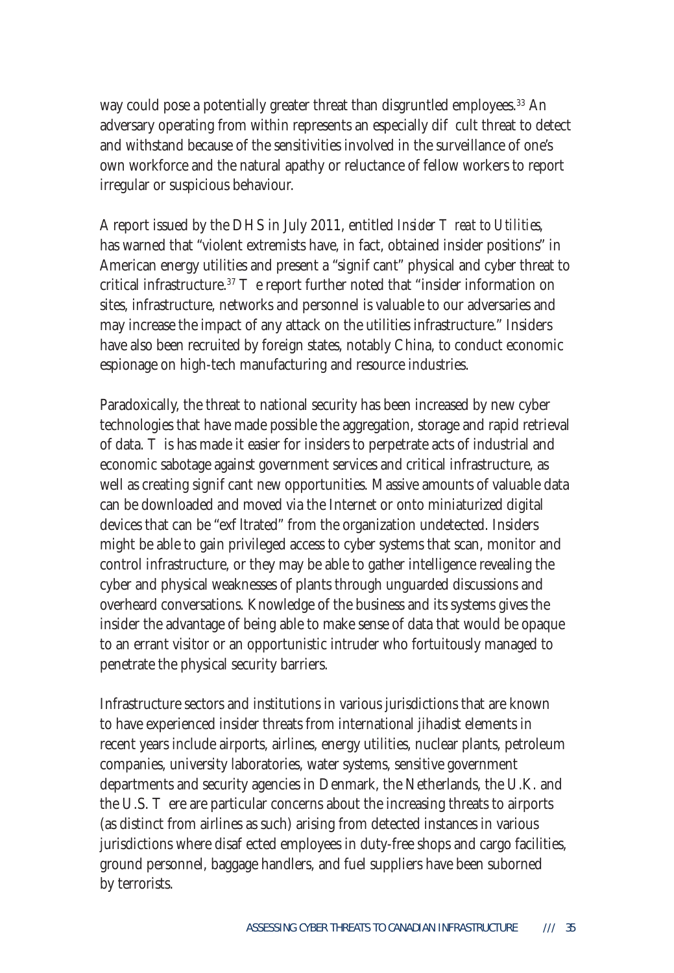way could pose a potentially greater threat than disgruntled employees.<sup>33</sup> An adversary operating from within represents an especially di cult threat to detect and withstand because of the sensitivities involved in the surveillance of one's own workforce and the natural apathy or reluctance of fellow workers to report irregular or suspicious behaviour.

A report issued by the DHS in July 2011, entitled *Insider reat to Utilities*, has warned that "violent extremists have, in fact, obtained insider positions" in American energy utilities and present a "signi cant" physical and cyber threat to critical infrastructure.<sup>37</sup> e report further noted that "insider information on sites, infrastructure, networks and personnel is valuable to our adversaries and may increase the impact of any attack on the utilities infrastructure." Insiders have also been recruited by foreign states, notably China, to conduct economic espionage on high-tech manufacturing and resource industries.

Paradoxically, the threat to national security has been increased by new cyber technologies that have made possible the aggregation, storage and rapid retrieval of data. is has made it easier for insiders to perpetrate acts of industrial and economic sabotage against government services and critical infrastructure, as well as creating signi cant new opportunities. Massive amounts of valuable data can be downloaded and moved via the Internet or onto miniaturized digital devices that can be "ex Itrated" from the organization undetected. Insiders might be able to gain privileged access to cyber systems that scan, monitor and control infrastructure, or they may be able to gather intelligence revealing the cyber and physical weaknesses of plants through unguarded discussions and overheard conversations. Knowledge of the business and its systems gives the insider the advantage of being able to make sense of data that would be opaque to an errant visitor or an opportunistic intruder who fortuitously managed to penetrate the physical security barriers.

Infrastructure sectors and institutions in various jurisdictions that are known to have experienced insider threats from international jihadist elements in recent years include airports, airlines, energy utilities, nuclear plants, petroleum companies, university laboratories, water systems, sensitive government departments and security agencies in Denmark, the Netherlands, the U.K. and the U.S. ere are particular concerns about the increasing threats to airports (as distinct from airlines as such) arising from detected instances in various jurisdictions where disa ected employees in duty-free shops and cargo facilities, ground personnel, baggage handlers, and fuel suppliers have been suborned by terrorists.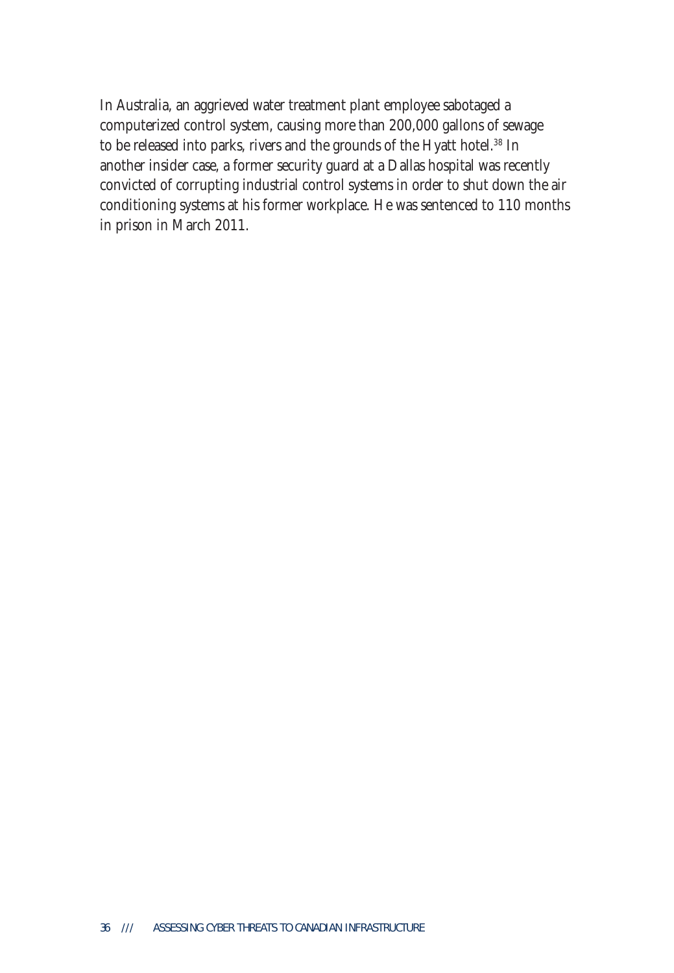In Australia, an aggrieved water treatment plant employee sabotaged a computerized control system, causing more than 200,000 gallons of sewage to be released into parks, rivers and the grounds of the Hyatt hotel.<sup>38</sup> In another insider case, a former security guard at a Dallas hospital was recently convicted of corrupting industrial control systems in order to shut down the air conditioning systems at his former workplace. He was sentenced to 110 months in prison in March 2011.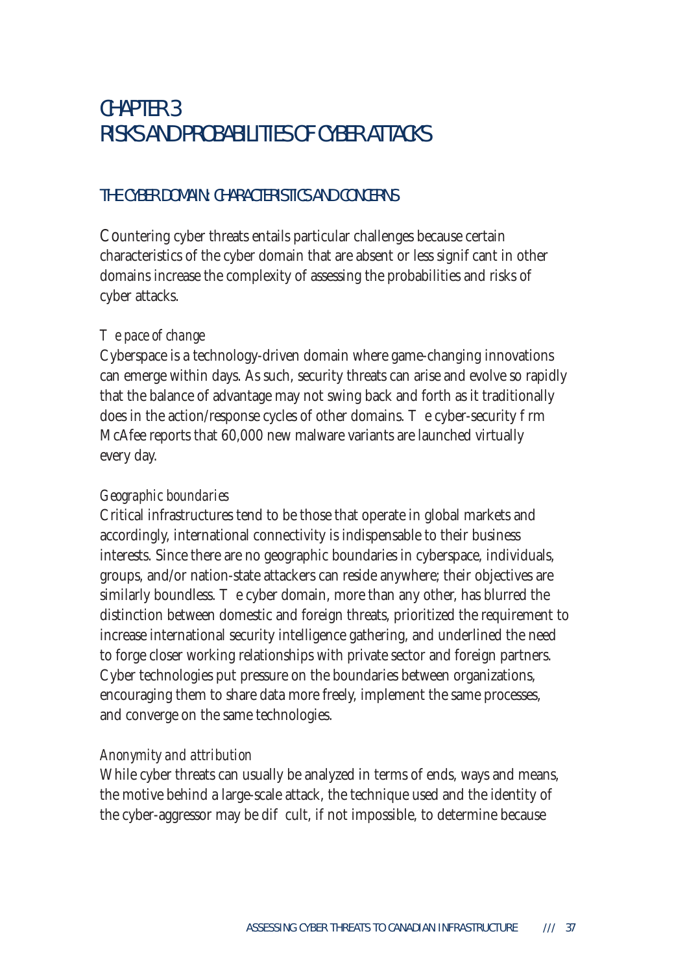## CHAPTER 3 RISKS AND PROBABILITIES OF CYBER ATTACKS

#### THE CYBER DOMAIN: CHARACTERISTICS AND CONCERNS

Countering cyber threats entails particular challenges because certain characteristics of the cyber domain that are absent or less signicant in other domains increase the complexity of assessing the probabilities and risks of cyber attacks.

#### *e* pace of change

Cyberspace is a technology-driven domain where game-changing innovations can emerge within days. As such, security threats can arise and evolve so rapidly that the balance of advantage may not swing back and forth as it traditionally does in the action/response cycles of other domains. The cyber-security rm McAfee reports that 60,000 new malware variants are launched virtually every day.

#### *Geographic boundaries*

Critical infrastructures tend to be those that operate in global markets and accordingly, international connectivity is indispensable to their business interests. Since there are no geographic boundaries in cyberspace, individuals, groups, and/or nation-state attackers can reside anywhere; their objectives are similarly boundless. e cyber domain, more than any other, has blurred the distinction between domestic and foreign threats, prioritized the requirement to increase international security intelligence gathering, and underlined the need to forge closer working relationships with private sector and foreign partners. Cyber technologies put pressure on the boundaries between organizations, encouraging them to share data more freely, implement the same processes, and converge on the same technologies.

#### *Anonymity and attribution*

While cyber threats can usually be analyzed in terms of ends, ways and means, the motive behind a large-scale attack, the technique used and the identity of the cyber-aggressor may be dicult, if not impossible, to determine because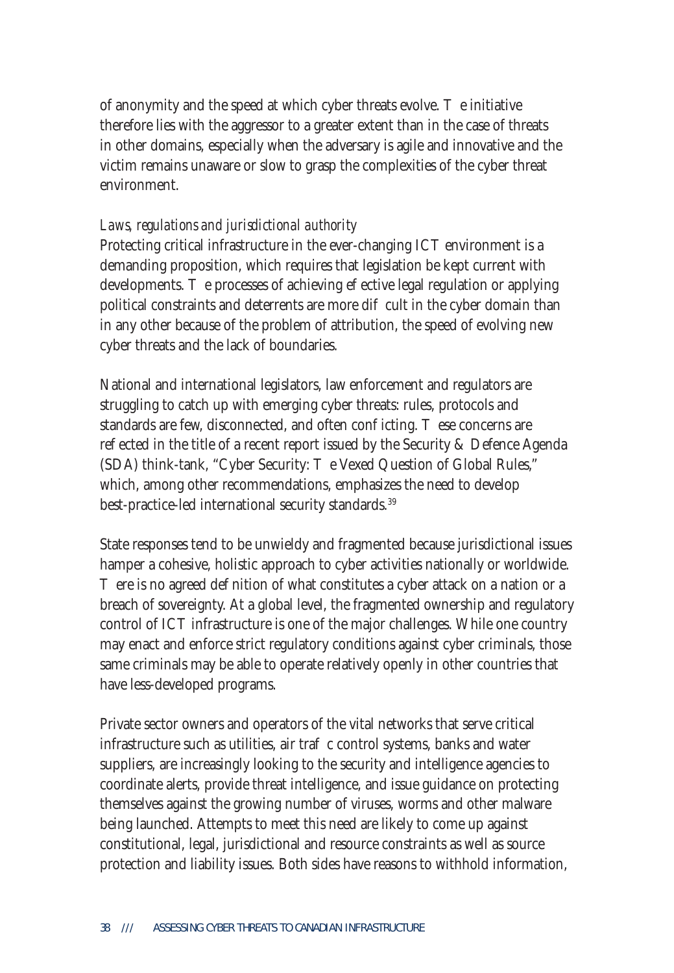of anonymity and the speed at which cyber threats evolve. e initiative therefore lies with the aggressor to a greater extent than in the case of threats in other domains, especially when the adversary is agile and innovative and the victim remains unaware or slow to grasp the complexities of the cyber threat environment.

#### *Laws, regulations and jurisdictional authority*

Protecting critical infrastructure in the ever-changing ICT environment is a demanding proposition, which requires that legislation be kept current with developments. e processes of achieving e ective legal regulation or applying political constraints and deterrents are more di cult in the cyber domain than in any other because of the problem of attribution, the speed of evolving new cyber threats and the lack of boundaries.

National and international legislators, law enforcement and regulators are struggling to catch up with emerging cyber threats: rules, protocols and standards are few, disconnected, and often conflicting. These concerns are re ected in the title of a recent report issued by the Security & Defence Agenda (SDA) think-tank, "Cyber Security: e Vexed Question of Global Rules," which, among other recommendations, emphasizes the need to develop best-practice-led international security standards.<sup>39</sup>

State responses tend to be unwieldy and fragmented because jurisdictional issues hamper a cohesive, holistic approach to cyber activities nationally or worldwide.

ere is no agreed de nition of what constitutes a cyber attack on a nation or a breach of sovereignty. At a global level, the fragmented ownership and regulatory control of ICT infrastructure is one of the major challenges. While one country may enact and enforce strict regulatory conditions against cyber criminals, those same criminals may be able to operate relatively openly in other countries that have less-developed programs.

Private sector owners and operators of the vital networks that serve critical infrastructure such as utilities, air tra $\;$  c control systems, banks and water suppliers, are increasingly looking to the security and intelligence agencies to coordinate alerts, provide threat intelligence, and issue guidance on protecting themselves against the growing number of viruses, worms and other malware being launched. Attempts to meet this need are likely to come up against constitutional, legal, jurisdictional and resource constraints as well as source protection and liability issues. Both sides have reasons to withhold information,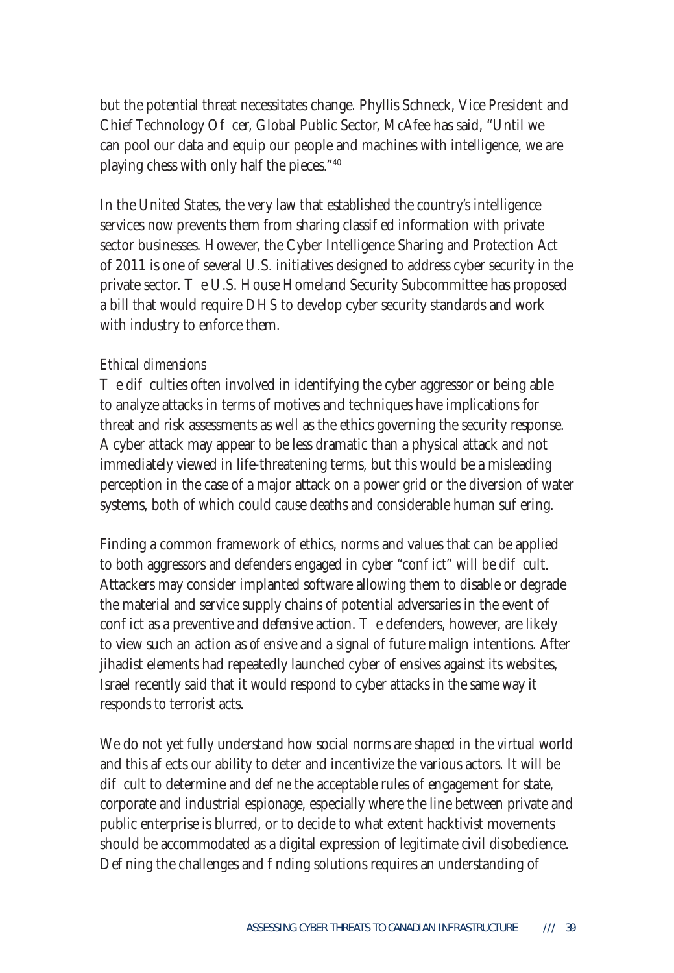but the potential threat necessitates change. Phyllis Schneck, Vice President and Chief Technology O cer, Global Public Sector, McAfee has said, "Until we can pool our data and equip our people and machines with intelligence, we are playing chess with only half the pieces."40

In the United States, the very law that established the country's intelligence services now prevents them from sharing classied information with private sector businesses. However, the Cyber Intelligence Sharing and Protection Act of 2011 is one of several U.S. initiatives designed to address cyber security in the private sector. e U.S. House Homeland Security Subcommittee has proposed a bill that would require DHS to develop cyber security standards and work with industry to enforce them.

#### *Ethical dimensions*

e di culties often involved in identifying the cyber aggressor or being able to analyze attacks in terms of motives and techniques have implications for threat and risk assessments as well as the ethics governing the security response. A cyber attack may appear to be less dramatic than a physical attack and not immediately viewed in life-threatening terms, but this would be a misleading perception in the case of a major attack on a power grid or the diversion of water systems, both of which could cause deaths and considerable human sue ring.

Finding a common framework of ethics, norms and values that can be applied to both aggressors and defenders engaged in cyber "con fict" will be dicult. Attackers may consider implanted software allowing them to disable or degrade the material and service supply chains of potential adversaries in the event of con ict as a preventive and *defensive* action. The defenders, however, are likely to view such an action as *o ensive* and a signal of future malign intentions. After jihadist elements had repeatedly launched cyber o ensives against its websites, Israel recently said that it would respond to cyber attacks in the same way it responds to terrorist acts.

We do not yet fully understand how social norms are shaped in the virtual world and this a ects our ability to deter and incentivize the various actors. It will be di cult to determine and de ne the acceptable rules of engagement for state, corporate and industrial espionage, especially where the line between private and public enterprise is blurred, or to decide to what extent hacktivist movements should be accommodated as a digital expression of legitimate civil disobedience. De ning the challenges and nding solutions requires an understanding of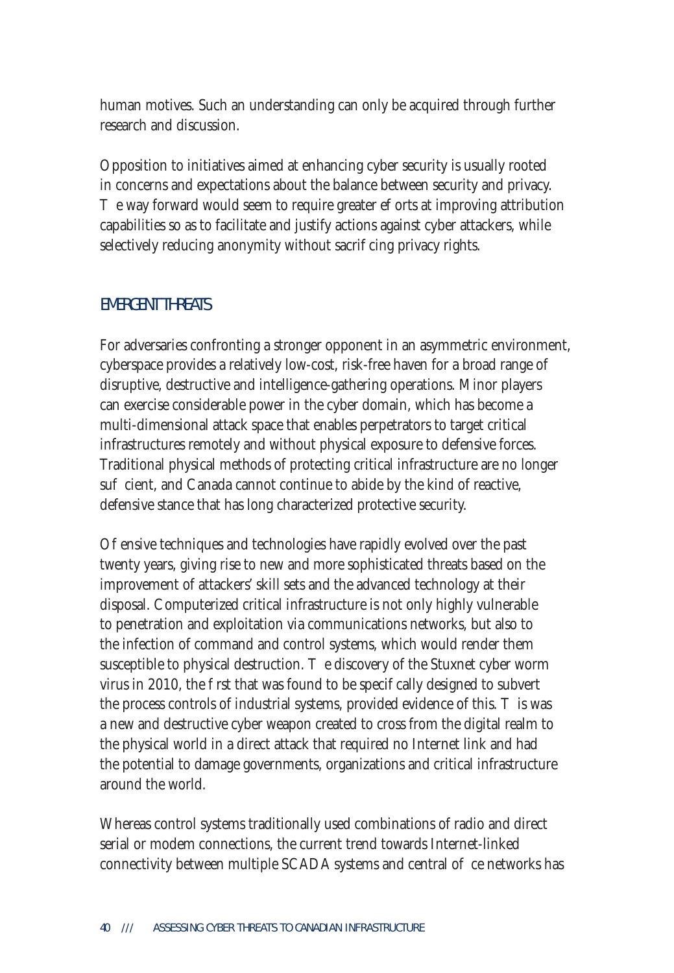human motives. Such an understanding can only be acquired through further research and discussion.

Opposition to initiatives aimed at enhancing cyber security is usually rooted in concerns and expectations about the balance between security and privacy.

e way forward would seem to require greater e orts at improving attribution capabilities so as to facilitate and justify actions against cyber attackers, while selectively reducing anonymity without sacri cing privacy rights.

#### EMERGENT THREATS

For adversaries confronting a stronger opponent in an asymmetric environment, cyberspace provides a relatively low-cost, risk-free haven for a broad range of disruptive, destructive and intelligence-gathering operations. Minor players can exercise considerable power in the cyber domain, which has become a multi-dimensional attack space that enables perpetrators to target critical infrastructures remotely and without physical exposure to defensive forces. Traditional physical methods of protecting critical infrastructure are no longer su cient, and Canada cannot continue to abide by the kind of reactive, defensive stance that has long characterized protective security.

O ensive techniques and technologies have rapidly evolved over the past twenty years, giving rise to new and more sophisticated threats based on the improvement of attackers' skill sets and the advanced technology at their disposal. Computerized critical infrastructure is not only highly vulnerable to penetration and exploitation via communications networks, but also to the infection of command and control systems, which would render them susceptible to physical destruction. The discovery of the Stuxnet cyber worm virus in 2010, the rst that was found to be speci cally designed to subvert the process controls of industrial systems, provided evidence of this. This was a new and destructive cyber weapon created to cross from the digital realm to the physical world in a direct attack that required no Internet link and had the potential to damage governments, organizations and critical infrastructure around the world.

Whereas control systems traditionally used combinations of radio and direct serial or modem connections, the current trend towards Internet-linked connectivity between multiple SCADA systems and central offer enetworks has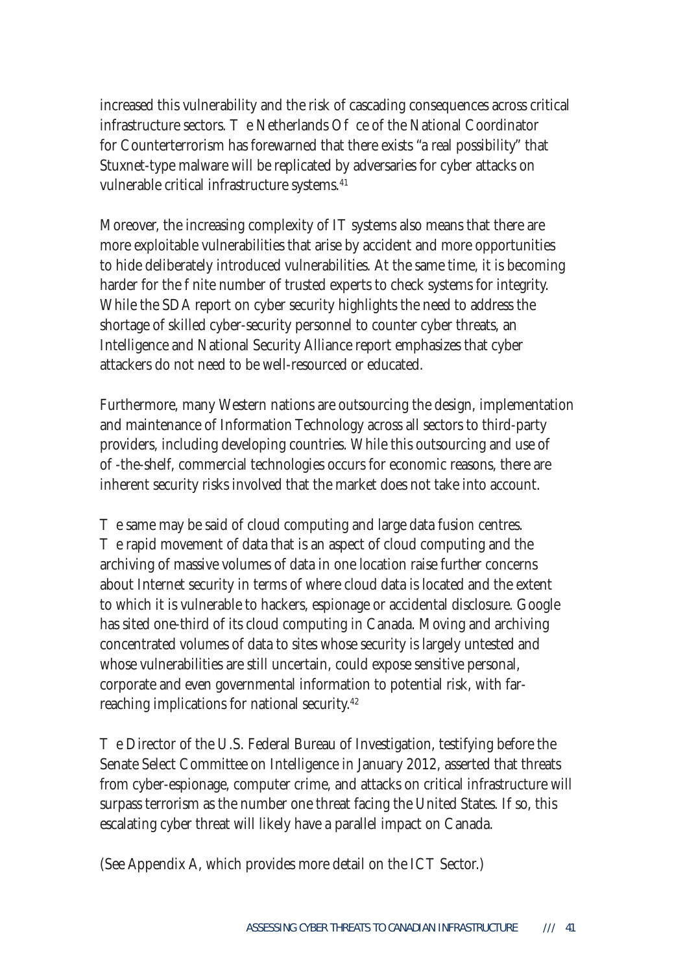increased this vulnerability and the risk of cascading consequences across critical infrastructure sectors.  $\blacksquare$  e Netherlands O  $\blacksquare$  ce of the National Coordinator for Counterterrorism has forewarned that there exists "a real possibility" that Stuxnet-type malware will be replicated by adversaries for cyber attacks on vulnerable critical infrastructure systems.<sup>41</sup>

Moreover, the increasing complexity of IT systems also means that there are more exploitable vulnerabilities that arise by accident and more opportunities to hide deliberately introduced vulnerabilities. At the same time, it is becoming harder for the nite number of trusted experts to check systems for integrity. While the SDA report on cyber security highlights the need to address the shortage of skilled cyber-security personnel to counter cyber threats, an Intelligence and National Security Alliance report emphasizes that cyber attackers do not need to be well-resourced or educated.

Furthermore, many Western nations are outsourcing the design, implementation and maintenance of Information Technology across all sectors to third-party providers, including developing countries. While this outsourcing and use of off-the-shelf, commercial technologies occurs for economic reasons, there are inherent security risks involved that the market does not take into account.

e same may be said of cloud computing and large data fusion centres.

e rapid movement of data that is an aspect of cloud computing and the archiving of massive volumes of data in one location raise further concerns about Internet security in terms of where cloud data is located and the extent to which it is vulnerable to hackers, espionage or accidental disclosure. Google has sited one-third of its cloud computing in Canada. Moving and archiving concentrated volumes of data to sites whose security is largely untested and whose vulnerabilities are still uncertain, could expose sensitive personal, corporate and even governmental information to potential risk, with farreaching implications for national security.<sup>42</sup>

e Director of the U.S. Federal Bureau of Investigation, testifying before the Senate Select Committee on Intelligence in January 2012, asserted that threats from cyber-espionage, computer crime, and attacks on critical infrastructure will surpass terrorism as the number one threat facing the United States. If so, this escalating cyber threat will likely have a parallel impact on Canada.

(See Appendix A, which provides more detail on the ICT Sector.)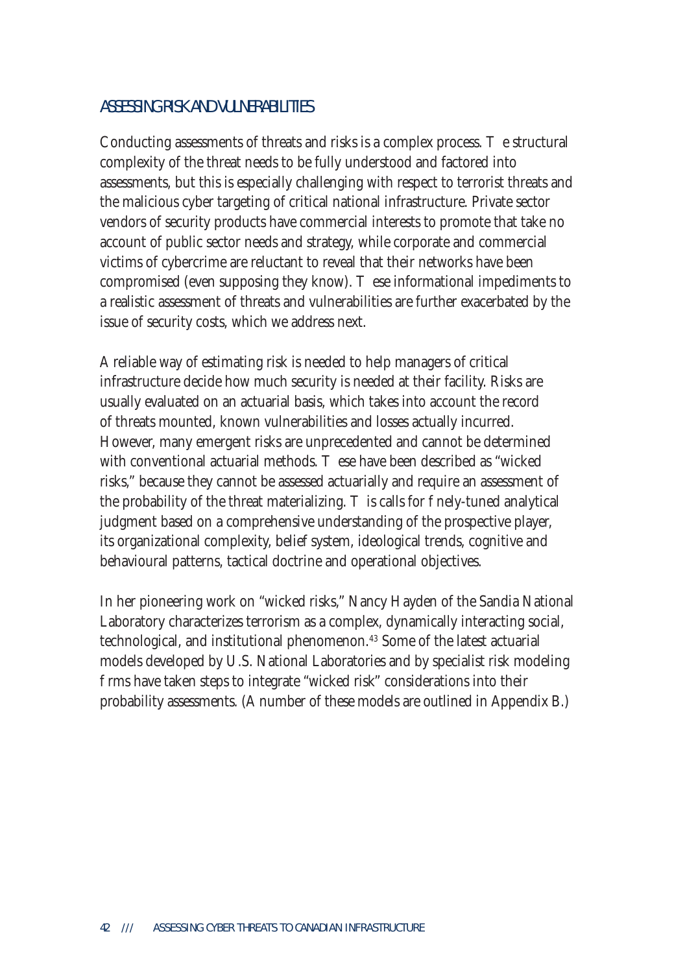#### ASSESSING RISK AND VULNERABILITIES

Conducting assessments of threats and risks is a complex process. e structural complexity of the threat needs to be fully understood and factored into assessments, but this is especially challenging with respect to terrorist threats and the malicious cyber targeting of critical national infrastructure. Private sector vendors of security products have commercial interests to promote that take no account of public sector needs and strategy, while corporate and commercial victims of cybercrime are reluctant to reveal that their networks have been compromised (even supposing they know). These informational impediments to a realistic assessment of threats and vulnerabilities are further exacerbated by the issue of security costs, which we address next.

A reliable way of estimating risk is needed to help managers of critical infrastructure decide how much security is needed at their facility. Risks are usually evaluated on an actuarial basis, which takes into account the record of threats mounted, known vulnerabilities and losses actually incurred. However, many emergent risks are unprecedented and cannot be determined with conventional actuarial methods. These have been described as "wicked" risks," because they cannot be assessed actuarially and require an assessment of the probability of the threat materializing. Is calls for enely-tuned analytical judgment based on a comprehensive understanding of the prospective player, its organizational complexity, belief system, ideological trends, cognitive and behavioural patterns, tactical doctrine and operational objectives.

In her pioneering work on "wicked risks," Nancy Hayden of the Sandia National Laboratory characterizes terrorism as a complex, dynamically interacting social, technological, and institutional phenomenon.<sup>43</sup> Some of the latest actuarial models developed by U.S. National Laboratories and by specialist risk modeling rms have taken steps to integrate "wicked risk" considerations into their probability assessments. (A number of these models are outlined in Appendix B.)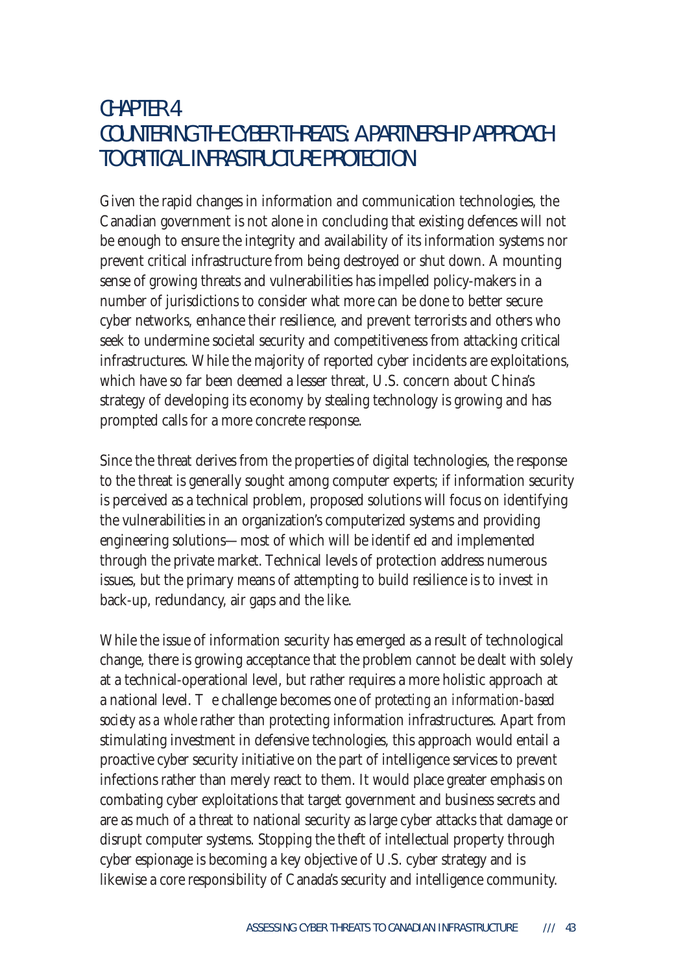## CHAPTER 4 COUNTERING THE CYBER THREATS: A PARTNERSHIP APPROACH TO CRITICAL INFRASTRUCTURE PROTECTION

Given the rapid changes in information and communication technologies, the Canadian government is not alone in concluding that existing defences will not be enough to ensure the integrity and availability of its information systems nor prevent critical infrastructure from being destroyed or shut down. A mounting sense of growing threats and vulnerabilities has impelled policy-makers in a number of jurisdictions to consider what more can be done to better secure cyber networks, enhance their resilience, and prevent terrorists and others who seek to undermine societal security and competitiveness from attacking critical infrastructures. While the majority of reported cyber incidents are exploitations, which have so far been deemed a lesser threat, U.S. concern about China's strategy of developing its economy by stealing technology is growing and has prompted calls for a more concrete response.

Since the threat derives from the properties of digital technologies, the response to the threat is generally sought among computer experts; if information security is perceived as a technical problem, proposed solutions will focus on identifying the vulnerabilities in an organization's computerized systems and providing engineering solutions—most of which will be identi ed and implemented through the private market. Technical levels of protection address numerous issues, but the primary means of attempting to build resilience is to invest in back-up, redundancy, air gaps and the like.

While the issue of information security has emerged as a result of technological change, there is growing acceptance that the problem cannot be dealt with solely at a technical-operational level, but rather requires a more holistic approach at a national level. e challenge becomes one of *protecting an information-based society as a whole* rather than protecting information infrastructures. Apart from stimulating investment in defensive technologies, this approach would entail a proactive cyber security initiative on the part of intelligence services to *prevent* infections rather than merely react to them. It would place greater emphasis on combating cyber exploitations that target government and business secrets and are as much of a threat to national security as large cyber attacks that damage or disrupt computer systems. Stopping the theft of intellectual property through cyber espionage is becoming a key objective of U.S. cyber strategy and is likewise a core responsibility of Canada's security and intelligence community.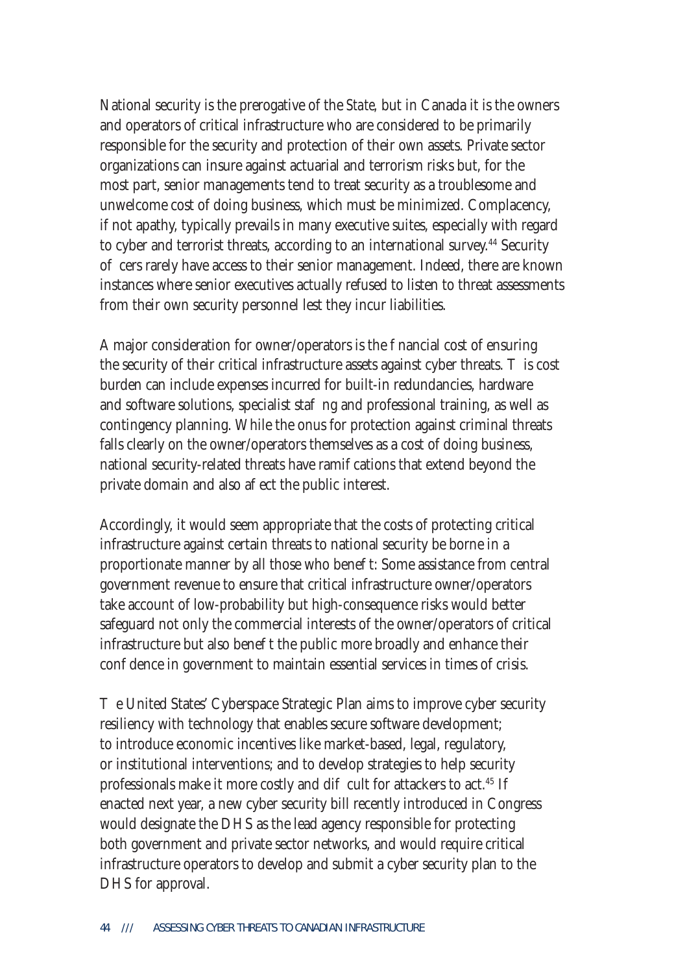National security is the prerogative of the *State,* but in Canada it is the owners and operators of critical infrastructure who are considered to be primarily responsible for the security and protection of their own assets. Private sector organizations can insure against actuarial and terrorism risks but, for the most part, senior managements tend to treat security as a troublesome and unwelcome cost of doing business, which must be minimized. Complacency, if not apathy, typically prevails in many executive suites, especially with regard to cyber and terrorist threats, according to an international survey.<sup>44</sup> Security o cers rarely have access to their senior management. Indeed, there are known instances where senior executives actually refused to listen to threat assessments from their own security personnel lest they incur liabilities.

A major consideration for owner/operators is the nancial cost of ensuring the security of their critical infrastructure assets against cyber threats. is cost burden can include expenses incurred for built-in redundancies, hardware and software solutions, specialist sta ng and professional training, as well as contingency planning. While the onus for protection against criminal threats falls clearly on the owner/operators themselves as a cost of doing business, national security-related threats have rami cations that extend beyond the private domain and also a ect the public interest.

Accordingly, it would seem appropriate that the costs of protecting critical infrastructure against certain threats to national security be borne in a proportionate manner by all those who bene t: Some assistance from central government revenue to ensure that critical infrastructure owner/operators take account of low-probability but high-consequence risks would better safeguard not only the commercial interests of the owner/operators of critical infrastructure but also bene t the public more broadly and enhance their con dence in government to maintain essential services in times of crisis.

e United States' Cyberspace Strategic Plan aims to improve cyber security resiliency with technology that enables secure software development; to introduce economic incentives like market-based, legal, regulatory, or institutional interventions; and to develop strategies to help security professionals make it more costly and di cult for attackers to act.<sup>45</sup> If enacted next year, a new cyber security bill recently introduced in Congress would designate the DHS as the lead agency responsible for protecting both government and private sector networks, and would require critical infrastructure operators to develop and submit a cyber security plan to the DHS for approval.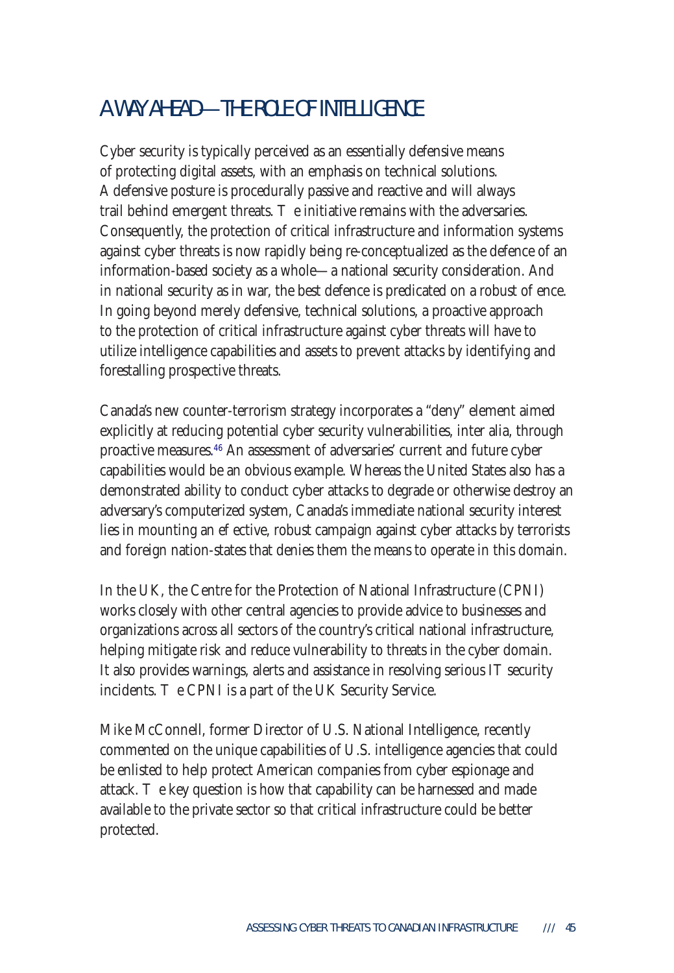## A WAY AHEAD—THE ROLE OF INTELLIGENCE

Cyber security is typically perceived as an essentially defensive means of protecting digital assets, with an emphasis on technical solutions. A defensive posture is procedurally passive and reactive and will always trail behind emergent threats. e initiative remains with the adversaries. Consequently, the protection of critical infrastructure and information systems against cyber threats is now rapidly being re-conceptualized as the defence of an information-based society as a whole—a national security consideration. And in national security as in war, the best defence is predicated on a robust  $\sigma$  ence. In going beyond merely defensive, technical solutions, a proactive approach to the protection of critical infrastructure against cyber threats will have to utilize intelligence capabilities and assets to prevent attacks by identifying and forestalling prospective threats.

Canada's new counter-terrorism strategy incorporates a "deny" element aimed explicitly at reducing potential cyber security vulnerabilities, inter alia, through proactive measures. 46 An assessment of adversaries' current and future cyber capabilities would be an obvious example. Whereas the United States also has a demonstrated ability to conduct cyber attacks to degrade or otherwise destroy an adversary's computerized system, Canada's immediate national security interest lies in mounting an e ective, robust campaign against cyber attacks by terrorists and foreign nation-states that denies them the means to operate in this domain.

In the UK, the Centre for the Protection of National Infrastructure (CPNI) works closely with other central agencies to provide advice to businesses and organizations across all sectors of the country's critical national infrastructure, helping mitigate risk and reduce vulnerability to threats in the cyber domain. It also provides warnings, alerts and assistance in resolving serious IT security incidents. e CPNI is a part of the UK Security Service.

Mike McConnell, former Director of U.S. National Intelligence, recently commented on the unique capabilities of U.S. intelligence agencies that could be enlisted to help protect American companies from cyber espionage and attack. e key question is how that capability can be harnessed and made available to the private sector so that critical infrastructure could be better protected.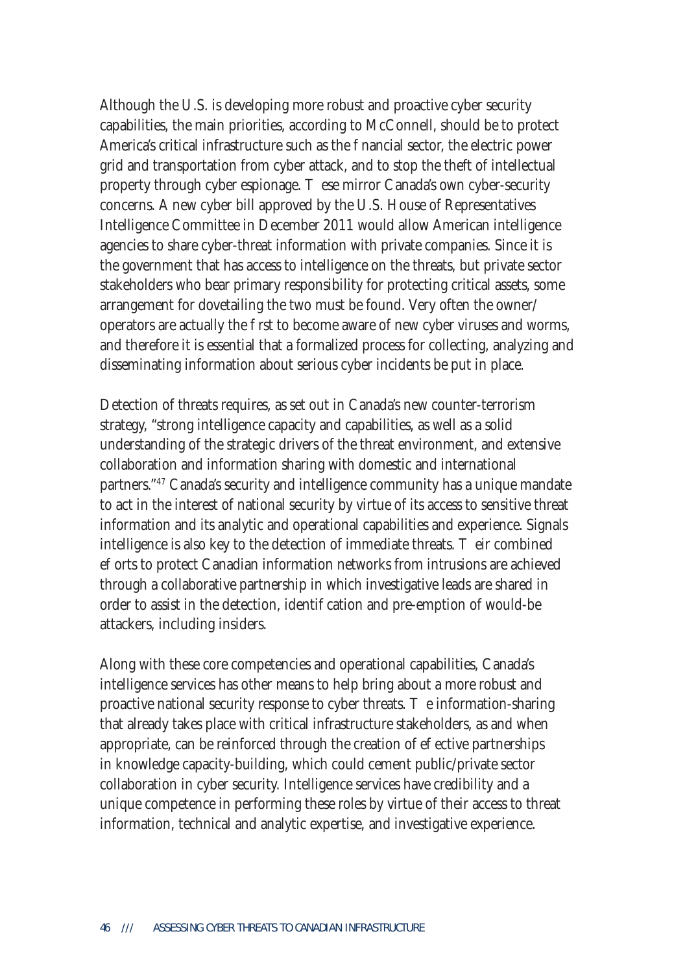Although the U.S. is developing more robust and proactive cyber security capabilities, the main priorities, according to McConnell, should be to protect America's critical infrastructure such as the nancial sector, the electric power grid and transportation from cyber attack, and to stop the theft of intellectual property through cyber espionage. ese mirror Canada's own cyber-security concerns. A new cyber bill approved by the U.S. House of Representatives Intelligence Committee in December 2011 would allow American intelligence agencies to share cyber-threat information with private companies. Since it is the government that has access to intelligence on the threats, but private sector stakeholders who bear primary responsibility for protecting critical assets, some arrangement for dovetailing the two must be found. Very often the owner/ operators are actually the rst to become aware of new cyber viruses and worms, and therefore it is essential that a formalized process for collecting, analyzing and disseminating information about serious cyber incidents be put in place.

Detection of threats requires, as set out in Canada's new counter-terrorism strategy, "strong intelligence capacity and capabilities, as well as a solid understanding of the strategic drivers of the threat environment, and extensive collaboration and information sharing with domestic and international partners."47 Canada's security and intelligence community has a unique mandate to act in the interest of national security by virtue of its access to sensitive threat information and its analytic and operational capabilities and experience. Signals intelligence is also key to the detection of immediate threats. eir combined e orts to protect Canadian information networks from intrusions are achieved through a collaborative partnership in which investigative leads are shared in order to assist in the detection, identi cation and pre-emption of would-be attackers, including insiders.

Along with these core competencies and operational capabilities, Canada's intelligence services has other means to help bring about a more robust and proactive national security response to cyber threats. e information-sharing that already takes place with critical infrastructure stakeholders, as and when appropriate, can be reinforced through the creation of  $e$  ective partnerships in knowledge capacity-building, which could cement public/private sector collaboration in cyber security. Intelligence services have credibility and a unique competence in performing these roles by virtue of their access to threat information, technical and analytic expertise, and investigative experience.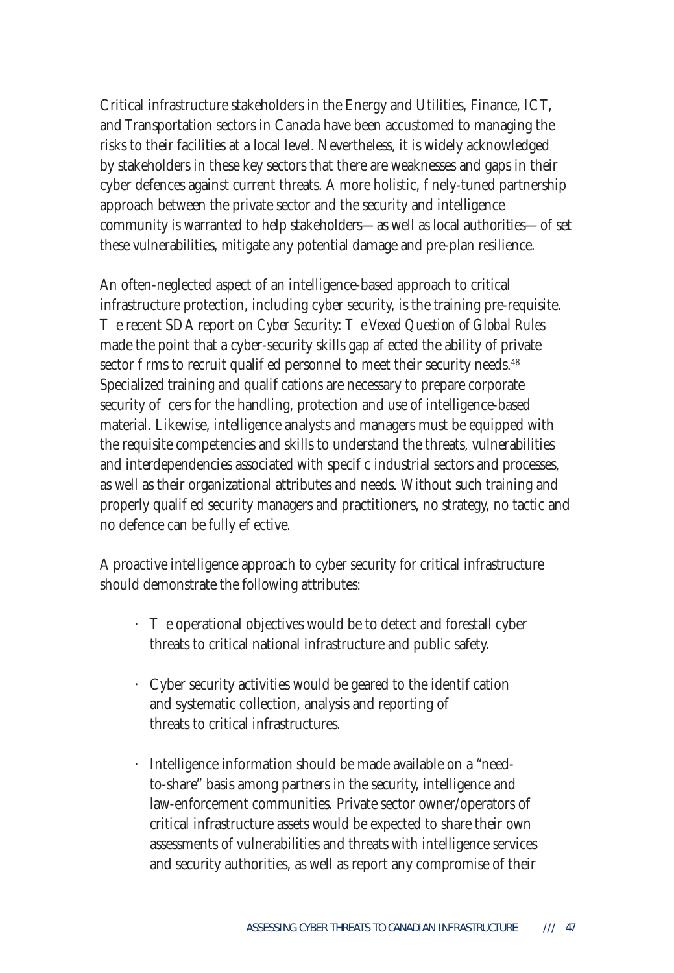Critical infrastructure stakeholders in the Energy and Utilities, Finance, ICT, and Transportation sectors in Canada have been accustomed to managing the risks to their facilities at a local level. Nevertheless, it is widely acknowledged by stakeholders in these key sectors that there are weaknesses and gaps in their cyber defences against current threats. A more holistic, nely-tuned partnership approach between the private sector and the security and intelligence community is warranted to help stakeholders—as well as local authorities—o set these vulnerabilities, mitigate any potential damage and pre-plan resilience.

An often-neglected aspect of an intelligence-based approach to critical infrastructure protection, including cyber security, is the training pre-requisite. Execent SDA report on *Cyber Security: e Vexed Question of Global Rules* made the point that a cyber-security skills gap a ected the ability of private sector firms to recruit qualied personnel to meet their security needs.<sup>48</sup> Specialized training and quali cations are necessary to prepare corporate security o cers for the handling, protection and use of intelligence-based material. Likewise, intelligence analysts and managers must be equipped with the requisite competencies and skills to understand the threats, vulnerabilities and interdependencies associated with speci c industrial sectors and processes, as well as their organizational attributes and needs. Without such training and properly quali ed security managers and practitioners, no strategy, no tactic and no defence can be fully e ective.

A proactive intelligence approach to cyber security for critical infrastructure should demonstrate the following attributes:

- e operational objectives would be to detect and forestall cyber threats to critical national infrastructure and public safety.
- $\cdot$  Cyber security activities would be geared to the identi cation and systematic collection, analysis and reporting of threats to critical infrastructures.
- · Intelligence information should be made available on a "need to-share" basis among partners in the security, intelligence and law-enforcement communities. Private sector owner/operators of critical infrastructure assets would be expected to share their own assessments of vulnerabilities and threats with intelligence services and security authorities, as well as report any compromise of their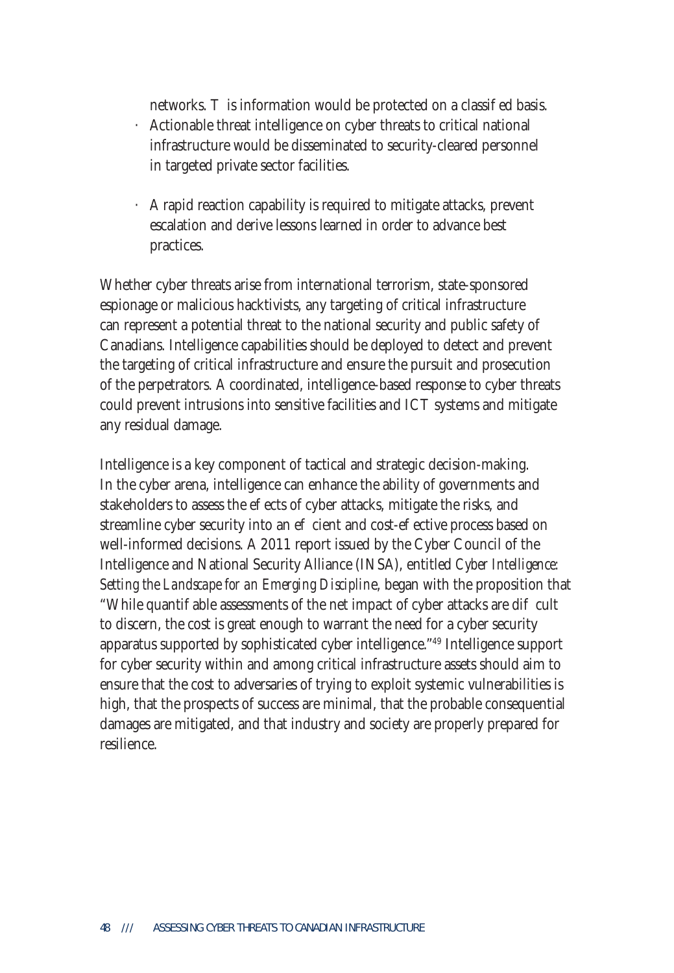networks. is information would be protected on a classied basis. · Actionable threat intelligence on cyber threats to critical national infrastructure would be disseminated to security-cleared personnel in targeted private sector facilities.

· A rapid reaction capability is required to mitigate attacks, prevent escalation and derive lessons learned in order to advance best practices.

Whether cyber threats arise from international terrorism, state-sponsored espionage or malicious hacktivists, any targeting of critical infrastructure can represent a potential threat to the national security and public safety of Canadians. Intelligence capabilities should be deployed to detect and prevent the targeting of critical infrastructure and ensure the pursuit and prosecution of the perpetrators. A coordinated, intelligence-based response to cyber threats could prevent intrusions into sensitive facilities and ICT systems and mitigate any residual damage.

Intelligence is a key component of tactical and strategic decision-making. In the cyber arena, intelligence can enhance the ability of governments and stakeholders to assess the e ects of cyber attacks, mitigate the risks, and streamline cyber security into an e cient and cost-e ective process based on well-informed decisions. A 2011 report issued by the Cyber Council of the Intelligence and National Security Alliance (INSA), entitled *Cyber Intelligence: Setting the Landscape for an Emerging Disciplin*e, began with the proposition that "While quanti able assessments of the net impact of cyber attacks are di cult to discern, the cost is great enough to warrant the need for a cyber security apparatus supported by sophisticated cyber intelligence."49 Intelligence support for cyber security within and among critical infrastructure assets should aim to ensure that the cost to adversaries of trying to exploit systemic vulnerabilities is high, that the prospects of success are minimal, that the probable consequential damages are mitigated, and that industry and society are properly prepared for resilience.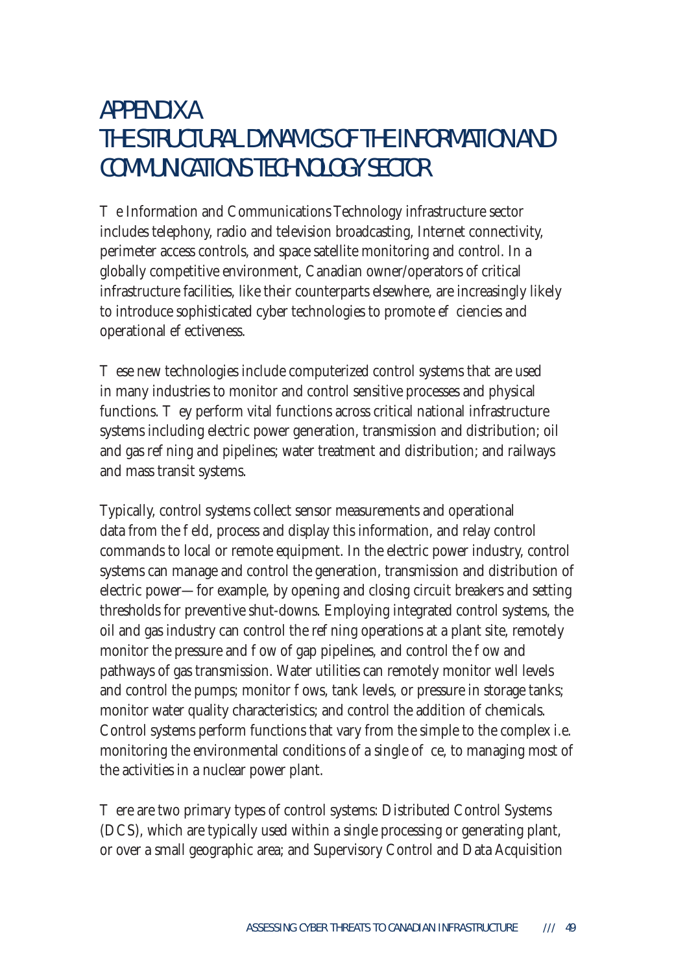# APPENDIX A THE STRUCTURAL DYNAMICS OF THE INFORMATION AND COMMUNICATIONS TECHNOLOGY SECTOR

 $e$  Information and Communications Technology infrastructure sector includes telephony, radio and television broadcasting, Internet connectivity, perimeter access controls, and space satellite monitoring and control. In a globally competitive environment, Canadian owner/operators of critical infrastructure facilities, like their counterparts elsewhere, are increasingly likely to introduce sophisticated cyber technologies to promote e ciencies and operational e ectiveness.

ese new technologies include computerized control systems that are used in many industries to monitor and control sensitive processes and physical functions. ey perform vital functions across critical national infrastructure systems including electric power generation, transmission and distribution; oil and gas re ning and pipelines; water treatment and distribution; and railways and mass transit systems.

Typically, control systems collect sensor measurements and operational data from the eld, process and display this information, and relay control commands to local or remote equipment. In the electric power industry, control systems can manage and control the generation, transmission and distribution of electric power—for example, by opening and closing circuit breakers and setting thresholds for preventive shut-downs. Employing integrated control systems, the oil and gas industry can control the ree ning operations at a plant site, remotely monitor the pressure and ow of gap pipelines, and control the ow and pathways of gas transmission. Water utilities can remotely monitor well levels and control the pumps; monitor ows, tank levels, or pressure in storage tanks; monitor water quality characteristics; and control the addition of chemicals. Control systems perform functions that vary from the simple to the complex i.e. monitoring the environmental conditions of a single  $o$  ce, to managing most of the activities in a nuclear power plant.

ere are two primary types of control systems: Distributed Control Systems (DCS), which are typically used within a single processing or generating plant, or over a small geographic area; and Supervisory Control and Data Acquisition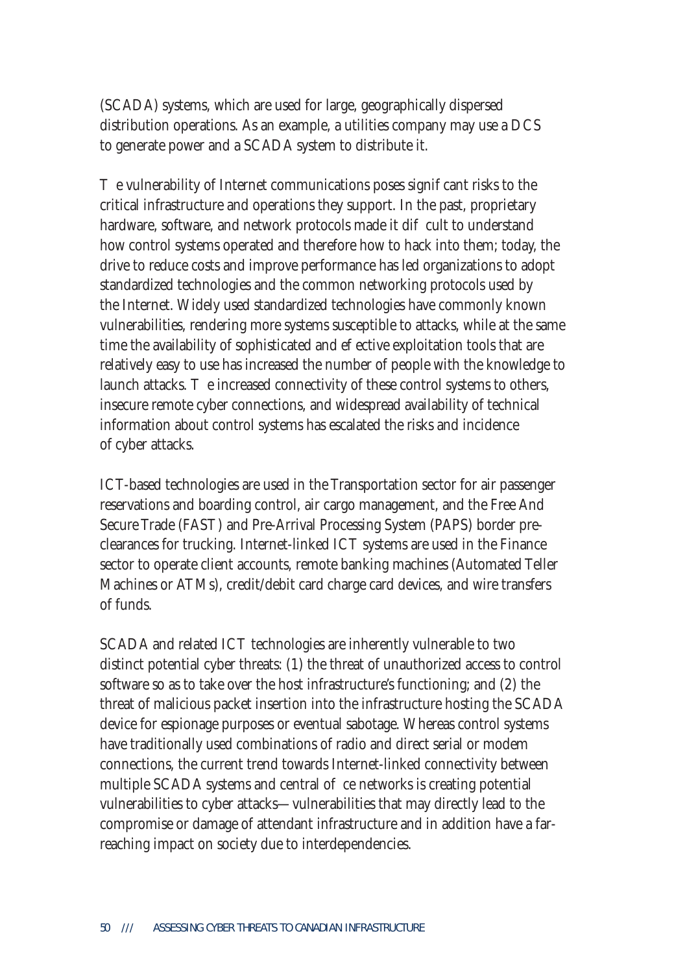(SCADA) systems, which are used for large, geographically dispersed distribution operations. As an example, a utilities company may use a DCS to generate power and a SCADA system to distribute it.

e vulnerability of Internet communications poses signi cant risks to the critical infrastructure and operations they support. In the past, proprietary hardware, software, and network protocols made it dielect to understand how control systems operated and therefore how to hack into them; today, the drive to reduce costs and improve performance has led organizations to adopt standardized technologies and the common networking protocols used by the Internet. Widely used standardized technologies have commonly known vulnerabilities, rendering more systems susceptible to attacks, while at the same time the availability of sophisticated and e ective exploitation tools that are relatively easy to use has increased the number of people with the knowledge to launch attacks. e increased connectivity of these control systems to others, insecure remote cyber connections, and widespread availability of technical information about control systems has escalated the risks and incidence of cyber attacks.

ICT-based technologies are used in the Transportation sector for air passenger reservations and boarding control, air cargo management, and the Free And Secure Trade (FAST) and Pre-Arrival Processing System (PAPS) border preclearances for trucking. Internet-linked ICT systems are used in the Finance sector to operate client accounts, remote banking machines (Automated Teller Machines or ATMs), credit/debit card charge card devices, and wire transfers of funds.

SCADA and related ICT technologies are inherently vulnerable to two distinct potential cyber threats: (1) the threat of unauthorized access to control software so as to take over the host infrastructure's functioning; and (2) the threat of malicious packet insertion into the infrastructure hosting the SCADA device for espionage purposes or eventual sabotage. Whereas control systems have traditionally used combinations of radio and direct serial or modem connections, the current trend towards Internet-linked connectivity between multiple SCADA systems and central  $\sigma$  ce networks is creating potential vulnerabilities to cyber attacks—vulnerabilities that may directly lead to the compromise or damage of attendant infrastructure and in addition have a farreaching impact on society due to interdependencies.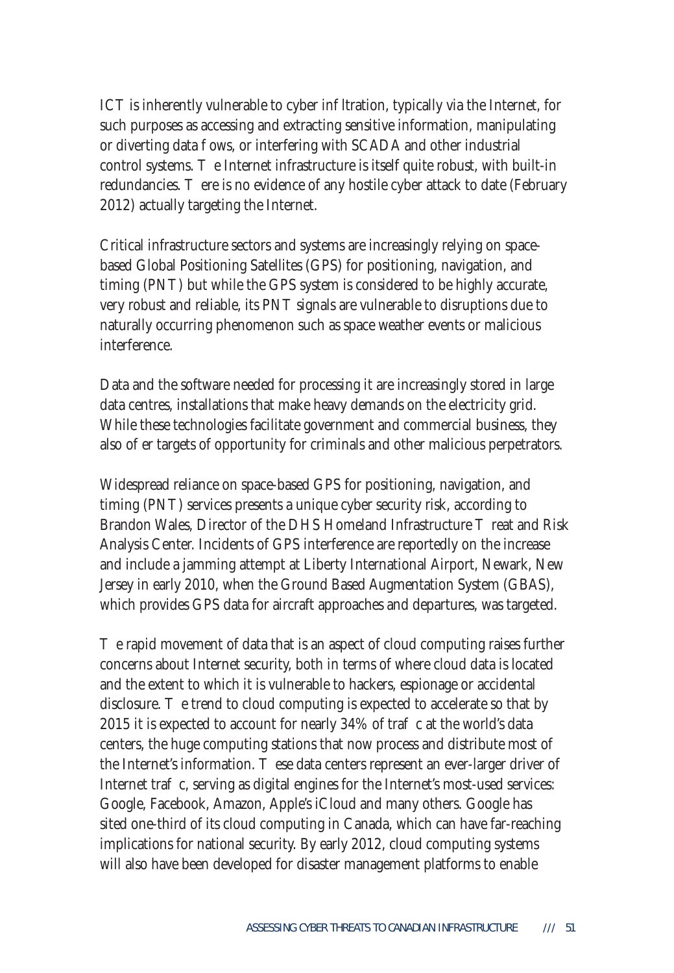ICT is inherently vulnerable to cyber in Itration, typically via the Internet, for such purposes as accessing and extracting sensitive information, manipulating or diverting data ows, or interfering with SCADA and other industrial control systems. e Internet infrastructure is itself quite robust, with built-in redundancies. ere is no evidence of any hostile cyber attack to date (February 2012) actually targeting the Internet.

Critical infrastructure sectors and systems are increasingly relying on spacebased Global Positioning Satellites (GPS) for positioning, navigation, and timing (PNT) but while the GPS system is considered to be highly accurate, very robust and reliable, its PNT signals are vulnerable to disruptions due to naturally occurring phenomenon such as space weather events or malicious interference.

Data and the software needed for processing it are increasingly stored in large data centres, installations that make heavy demands on the electricity grid. While these technologies facilitate government and commercial business, they also o er targets of opportunity for criminals and other malicious perpetrators.

Widespread reliance on space-based GPS for positioning, navigation, and timing (PNT) services presents a unique cyber security risk, according to Brandon Wales, Director of the DHS Homeland Infrastructure reat and Risk Analysis Center. Incidents of GPS interference are reportedly on the increase and include a jamming attempt at Liberty International Airport, Newark, New Jersey in early 2010, when the Ground Based Augmentation System (GBAS), which provides GPS data for aircraft approaches and departures, was targeted.

e rapid movement of data that is an aspect of cloud computing raises further concerns about Internet security, both in terms of where cloud data is located and the extent to which it is vulnerable to hackers, espionage or accidental disclosure. e trend to cloud computing is expected to accelerate so that by 2015 it is expected to account for nearly  $34\%$  of trage at the world's data centers, the huge computing stations that now process and distribute most of the Internet's information. ese data centers represent an ever-larger driver of Internet tra c, serving as digital engines for the Internet's most-used services: Google, Facebook, Amazon, Apple's iCloud and many others. Google has sited one-third of its cloud computing in Canada, which can have far-reaching implications for national security. By early 2012, cloud computing systems will also have been developed for disaster management platforms to enable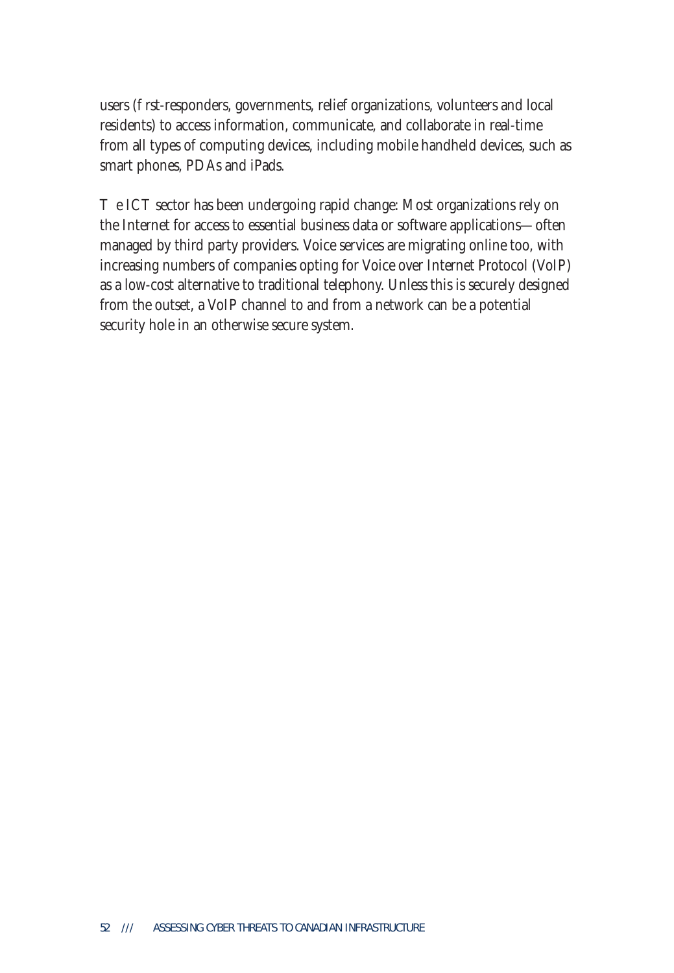users (rst-responders, governments, relief organizations, volunteers and local residents) to access information, communicate, and collaborate in real-time from all types of computing devices, including mobile handheld devices, such as smart phones, PDAs and iPads.

e ICT sector has been undergoing rapid change: Most organizations rely on the Internet for access to essential business data or software applications—often managed by third party providers. Voice services are migrating online too, with increasing numbers of companies opting for Voice over Internet Protocol (VoIP) as a low-cost alternative to traditional telephony. Unless this is securely designed from the outset, a VoIP channel to and from a network can be a potential security hole in an otherwise secure system.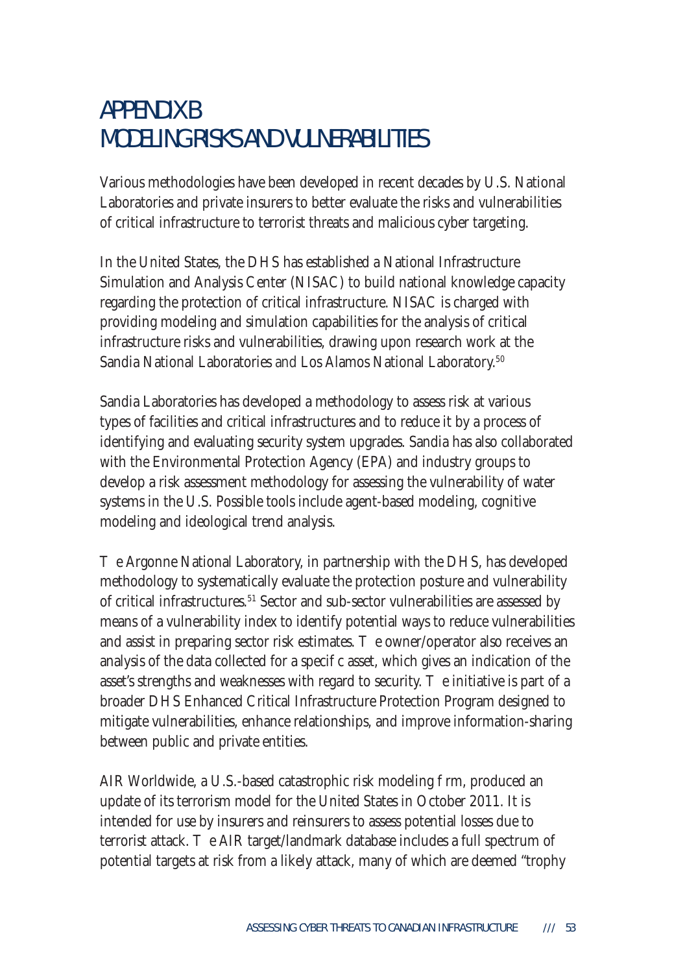# APPENDIX B MODELING RISKS AND VULNERABILITIES

Various methodologies have been developed in recent decades by U.S. National Laboratories and private insurers to better evaluate the risks and vulnerabilities of critical infrastructure to terrorist threats and malicious cyber targeting.

In the United States, the DHS has established a National Infrastructure Simulation and Analysis Center (NISAC) to build national knowledge capacity regarding the protection of critical infrastructure. NISAC is charged with providing modeling and simulation capabilities for the analysis of critical infrastructure risks and vulnerabilities, drawing upon research work at the Sandia National Laboratories and Los Alamos National Laboratory.<sup>50</sup>

Sandia Laboratories has developed a methodology to assess risk at various types of facilities and critical infrastructures and to reduce it by a process of identifying and evaluating security system upgrades. Sandia has also collaborated with the Environmental Protection Agency (EPA) and industry groups to develop a risk assessment methodology for assessing the vulnerability of water systems in the U.S. Possible tools include agent-based modeling, cognitive modeling and ideological trend analysis.

e Argonne National Laboratory, in partnership with the DHS, has developed methodology to systematically evaluate the protection posture and vulnerability of critical infrastructures.51 Sector and sub-sector vulnerabilities are assessed by means of a vulnerability index to identify potential ways to reduce vulnerabilities and assist in preparing sector risk estimates. The owner/operator also receives an analysis of the data collected for a speci c asset, which gives an indication of the asset's strengths and weaknesses with regard to security. e initiative is part of a broader DHS Enhanced Critical Infrastructure Protection Program designed to mitigate vulnerabilities, enhance relationships, and improve information-sharing between public and private entities.

AIR Worldwide, a U.S.-based catastrophic risk modeling firm, produced an update of its terrorism model for the United States in October 2011. It is intended for use by insurers and reinsurers to assess potential losses due to terrorist attack. The AIR target/landmark database includes a full spectrum of potential targets at risk from a likely attack, many of which are deemed "trophy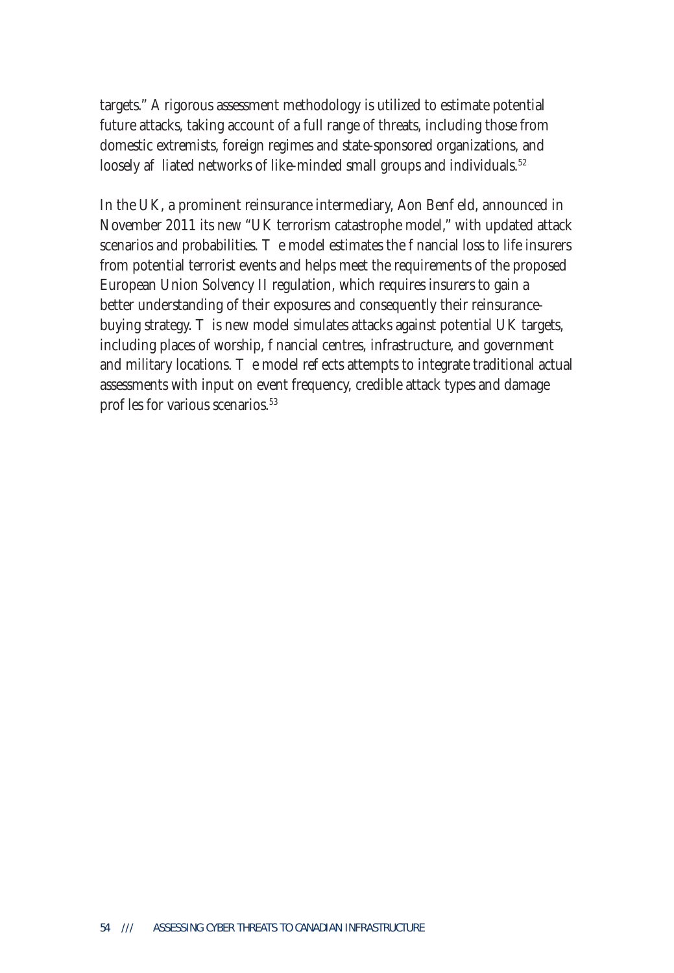targets." A rigorous assessment methodology is utilized to estimate potential future attacks, taking account of a full range of threats, including those from domestic extremists, foreign regimes and state-sponsored organizations, and loosely a liated networks of like-minded small groups and individuals.<sup>52</sup>

In the UK, a prominent reinsurance intermediary, Aon Ben eld, announced in November 2011 its new "UK terrorism catastrophe model," with updated attack scenarios and probabilities. <br> **e** model estimates the nancial loss to life insurers from potential terrorist events and helps meet the requirements of the proposed European Union Solvency II regulation, which requires insurers to gain a better understanding of their exposures and consequently their reinsurancebuying strategy. is new model simulates attacks against potential UK targets, including places of worship, nancial centres, infrastructure, and government and military locations. e model reects attempts to integrate traditional actual assessments with input on event frequency, credible attack types and damage pro les for various scenarios.<sup>53</sup>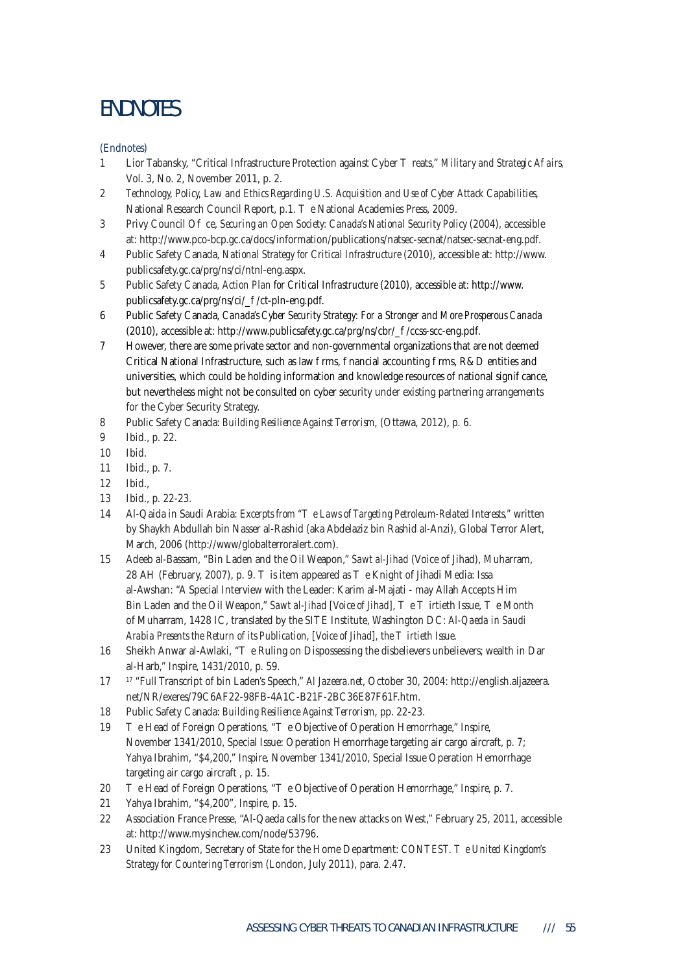## ENDNOTES

(Endnotes)

- 1 Lior Tabansky, "Critical Infrastructure Protection against Cyber reats," *Military and Strategic A airs,* Vol. 3, No. 2, November 2011, p. 2.
- 2 *Technology, Policy, Law and Ethics Regarding U.S. Acquisition and Use of Cyber Attack Capabilities*, National Research Council Report, p.1. e National Academies Press, 2009.
- 3 Privy Council O ce, *Securing an Open Society: Canada's National Security Policy* (2004), accessible at: http://www.pco-bcp.gc.ca/docs/information/publications/natsec-secnat/natsec-secnat-eng.pdf.
- 4 Public Safety Canada, *National Strategy for Critical Infrastructure* (2010), accessible at: http://www. publicsafety.gc.ca/prg/ns/ci/ntnl-eng.aspx.
- 5 Public Safety Canada, *Action Plan for Critical Infrastructure* (2010), accessible at: http://www. publicsafety.gc.ca/prg/ns/ci/\_/ct-pln-eng.pdf.
- 6 Public Safety Canada, *Canada's Cyber Security Strategy: For a Stronger and More Prosperous Canada* (2010), accessible at: http://www.publicsafety.gc.ca/prg/ns/cbr/\_/ccss-scc-eng.pdf.
- 7 However, there are some private sector and non-governmental organizations that are not deemed Critical National Infrastructure, such as law rms, nancial accounting rms, R&D entities and universities, which could be holding information and knowledge resources of national signi cance, but nevertheless might not be consulted on cyber security under existing partnering arrangements for the Cyber Security Strategy.
- 8 Public Safety Canada: *Building Resilience Against Terrorism*, (Ottawa, 2012), p. 6.
- 9 Ibid., p. 22.
- 10 Ibid.
- 11 Ibid., p. 7.
- 12 Ibid.,
- 13 Ibid., p. 22-23.
- 14 Al-Qaida in Saudi Arabia: *Excerpts from " e Laws of Targeting Petroleum-Related Interests,"* written by Shaykh Abdullah bin Nasser al-Rashid (aka Abdelaziz bin Rashid al-Anzi), Global Terror Alert, March, 2006 (http://www/globalterroralert.com).
- 15 Adeeb al-Bassam, "Bin Laden and the Oil Weapon," *Sawt al-Jihad* (Voice of Jihad), Muharram, 28 AH (February, 2007), p. 9. is item appeared as e Knight of Jihadi Media: Issa al-Awshan: "A Special Interview with the Leader: Karim al-Majati - may Allah Accepts Him Bin Laden and the Oil Weapon," *Sawt al-Jihad [Voice of Jihad]*, e irtieth Issue, e Month of Muharram, 1428 IC, translated by the SITE Institute, Washington DC: *Al-Qaeda in Saudi*  Arabia Presents the Return of its Publication, [Voice of Jihad], the irtieth Issue.
- 16 Sheikh Anwar al-Awlaki, "e Ruling on Dispossessing the disbelievers unbelievers; wealth in Dar al-Harb," *Inspire*, 1431/2010, p. 59.
- 17 17 "Full Transcript of bin Laden's Speech," *Al Jazeera.net*, October 30, 2004: http://english.aljazeera. net/NR/exeres/79C6AF22-98FB-4A1C-B21F-2BC36E87F61F.htm.
- 18 Public Safety Canada: *Building Resilience Against Terrorism*, pp. 22-23.
- 19 e Head of Foreign Operations, "e Objective of Operation Hemorrhage," *Inspire*, November 1341/2010, Special Issue: Operation Hemorrhage targeting air cargo aircraft, p. 7; Yahya Ibrahim, "\$4,200," *Inspire*, November 1341/2010, Special Issue Operation Hemorrhage targeting air cargo aircraft , p. 15.
- 20 e Head of Foreign Operations, "e Objective of Operation Hemorrhage," *Inspire*, p. 7.
- 21 Yahya Ibrahim, "\$4,200", *Inspire*, p. 15.
- 22 Association France Presse, "Al-Qaeda calls for the new attacks on West," February 25, 2011, accessible at: http://www.mysinchew.com/node/53796.
- 23 United Kingdom, Secretary of State for the Home Department: *CONTEST. e United Kingdom's Strategy for Countering Terrorism* (London, July 2011), para. 2.47.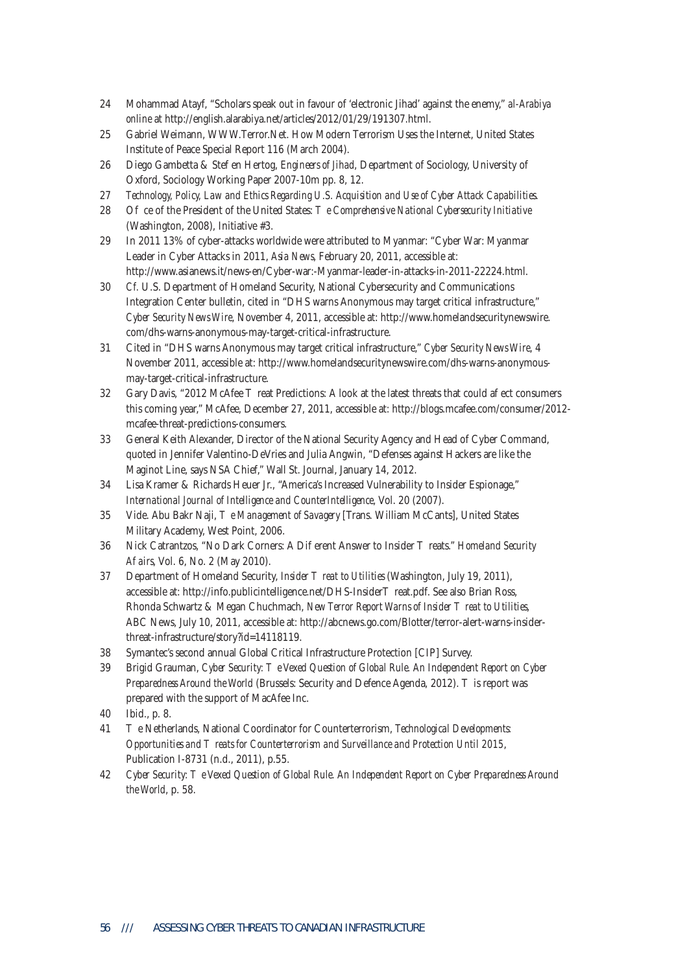- 24 Mohammad Atayf, "Scholars speak out in favour of 'electronic Jihad' against the enemy," *al-Arabiya online* at http://english.alarabiya.net/articles/2012/01/29/191307.html.
- 25 Gabriel Weimann, WWW.Terror.Net. How Modern Terrorism Uses the Internet, United States Institute of Peace Special Report 116 (March 2004).
- 26 Diego Gambetta & Ste en Hertog, *Engineers of Jihad*, Department of Sociology, University of Oxford, Sociology Working Paper 2007-10m pp. 8, 12.
- 27 *Technology, Policy, Law and Ethics Regarding U.S. Acquisition and Use of Cyber Attack Capabilities*.
- 28 O ce of the President of the United States: *e Comprehensive National Cybersecurity Initiative* (Washington, 2008), Initiative #3.
- 29 In 2011 13% of cyber-attacks worldwide were attributed to Myanmar: "Cyber War: Myanmar Leader in Cyber Attacks in 2011, *Asia News*, February 20, 2011, accessible at: http://www.asianews.it/news-en/Cyber-war:-Myanmar-leader-in-attacks-in-2011-22224.html.
- 30 *Cf.* U.S. Department of Homeland Security, National Cybersecurity and Communications Integration Center bulletin, cited in "DHS warns Anonymous may target critical infrastructure," *Cyber Security News Wire*, November 4, 2011, accessible at: http://www.homelandsecuritynewswire. com/dhs-warns-anonymous-may-target-critical-infrastructure.
- 31 Cited in "DHS warns Anonymous may target critical infrastructure," *Cyber Security News Wire*, 4 November 2011, accessible at: http://www.homelandsecuritynewswire.com/dhs-warns-anonymousmay-target-critical-infrastructure.
- 32 Gary Davis, "2012 McAfee reat Predictions: A look at the latest threats that could a ect consumers this coming year," McAfee, December 27, 2011, accessible at: http://blogs.mcafee.com/consumer/2012 mcafee-threat-predictions-consumers.
- 33 General Keith Alexander, Director of the National Security Agency and Head of Cyber Command, quoted in Jennifer Valentino-DeVries and Julia Angwin, "Defenses against Hackers are like the Maginot Line, says NSA Chief," Wall St. Journal, January 14, 2012.
- 34 Lisa Kramer & Richards Heuer Jr., "America's Increased Vulnerability to Insider Espionage," *International Journal of Intelligence and CounterIntelligence*, Vol. 20 (2007).
- 35 Vide. Abu Bakr Naji, *e Management of Savagery* [Trans. William McCants], United States Military Academy, West Point, 2006.
- 36 Nick Catrantzos, "No Dark Corners: A Di erent Answer to Insider reats." *Homeland Security Affairs*, Vol. 6, No. 2 (May 2010).
- 37 Department of Homeland Security, *Insider reat to Utilities* (Washington, July 19, 2011), accessible at: http://info.publicintelligence.net/DHS-Insider reat.pdf. See also Brian Ross, Rhonda Schwartz & Megan Chuchmach, *New Terror Report Warns of Insider* reat to Utilities, ABC News, July 10, 2011, accessible at: http://abcnews.go.com/Blotter/terror-alert-warns-insiderthreat-infrastructure/story?id=14118119.
- 38 Symantec's second annual Global Critical Infrastructure Protection [CIP] Survey.
- 39 Brigid Grauman, *Cyber Security: e Vexed Question of Global Rule. An Independent Report on Cyber Preparedness Around the World* (Brussels: Security and Defence Agenda, 2012). is report was prepared with the support of MacAfee Inc.
- 40 Ibid., p. 8.
- 41 The Netherlands, National Coordinator for Counterterrorism, *Technological Developments: Opportunities and reats for Counterterrorism and Surveillance and Protection Until 2015*, Publication I-8731 (n.d., 2011), p.55.
- 42 *Cyber Security: The Vexed Question of Global Rule. An Independent Report on Cyber Preparedness Around the World*, p. 58.